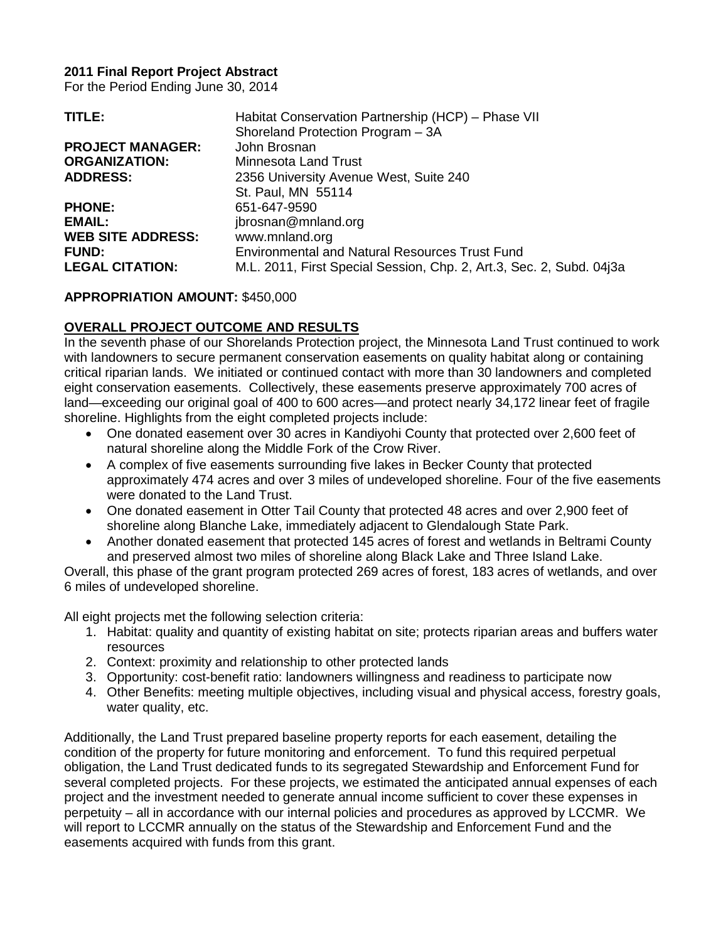#### **2011 Final Report Project Abstract**

For the Period Ending June 30, 2014

| TITLE:                   | Habitat Conservation Partnership (HCP) - Phase VII                   |
|--------------------------|----------------------------------------------------------------------|
|                          | Shoreland Protection Program - 3A                                    |
| <b>PROJECT MANAGER:</b>  | John Brosnan                                                         |
| <b>ORGANIZATION:</b>     | Minnesota Land Trust                                                 |
| <b>ADDRESS:</b>          | 2356 University Avenue West, Suite 240                               |
|                          | St. Paul, MN 55114                                                   |
| <b>PHONE:</b>            | 651-647-9590                                                         |
| EMAIL:                   | jbrosnan@mnland.org                                                  |
| <b>WEB SITE ADDRESS:</b> | www.mnland.org                                                       |
| <b>FUND:</b>             | <b>Environmental and Natural Resources Trust Fund</b>                |
| <b>LEGAL CITATION:</b>   | M.L. 2011, First Special Session, Chp. 2, Art.3, Sec. 2, Subd. 04j3a |

# **APPROPRIATION AMOUNT:** \$450,000

# **OVERALL PROJECT OUTCOME AND RESULTS**

In the seventh phase of our Shorelands Protection project, the Minnesota Land Trust continued to work with landowners to secure permanent conservation easements on quality habitat along or containing critical riparian lands. We initiated or continued contact with more than 30 landowners and completed eight conservation easements. Collectively, these easements preserve approximately 700 acres of land—exceeding our original goal of 400 to 600 acres—and protect nearly 34,172 linear feet of fragile shoreline. Highlights from the eight completed projects include:

- One donated easement over 30 acres in Kandiyohi County that protected over 2,600 feet of natural shoreline along the Middle Fork of the Crow River.
- A complex of five easements surrounding five lakes in Becker County that protected approximately 474 acres and over 3 miles of undeveloped shoreline. Four of the five easements were donated to the Land Trust.
- One donated easement in Otter Tail County that protected 48 acres and over 2,900 feet of shoreline along Blanche Lake, immediately adjacent to Glendalough State Park.
- Another donated easement that protected 145 acres of forest and wetlands in Beltrami County and preserved almost two miles of shoreline along Black Lake and Three Island Lake.

Overall, this phase of the grant program protected 269 acres of forest, 183 acres of wetlands, and over 6 miles of undeveloped shoreline.

All eight projects met the following selection criteria:

- 1. Habitat: quality and quantity of existing habitat on site; protects riparian areas and buffers water resources
- 2. Context: proximity and relationship to other protected lands
- 3. Opportunity: cost-benefit ratio: landowners willingness and readiness to participate now
- 4. Other Benefits: meeting multiple objectives, including visual and physical access, forestry goals, water quality, etc.

Additionally, the Land Trust prepared baseline property reports for each easement, detailing the condition of the property for future monitoring and enforcement. To fund this required perpetual obligation, the Land Trust dedicated funds to its segregated Stewardship and Enforcement Fund for several completed projects. For these projects, we estimated the anticipated annual expenses of each project and the investment needed to generate annual income sufficient to cover these expenses in perpetuity – all in accordance with our internal policies and procedures as approved by LCCMR. We will report to LCCMR annually on the status of the Stewardship and Enforcement Fund and the easements acquired with funds from this grant.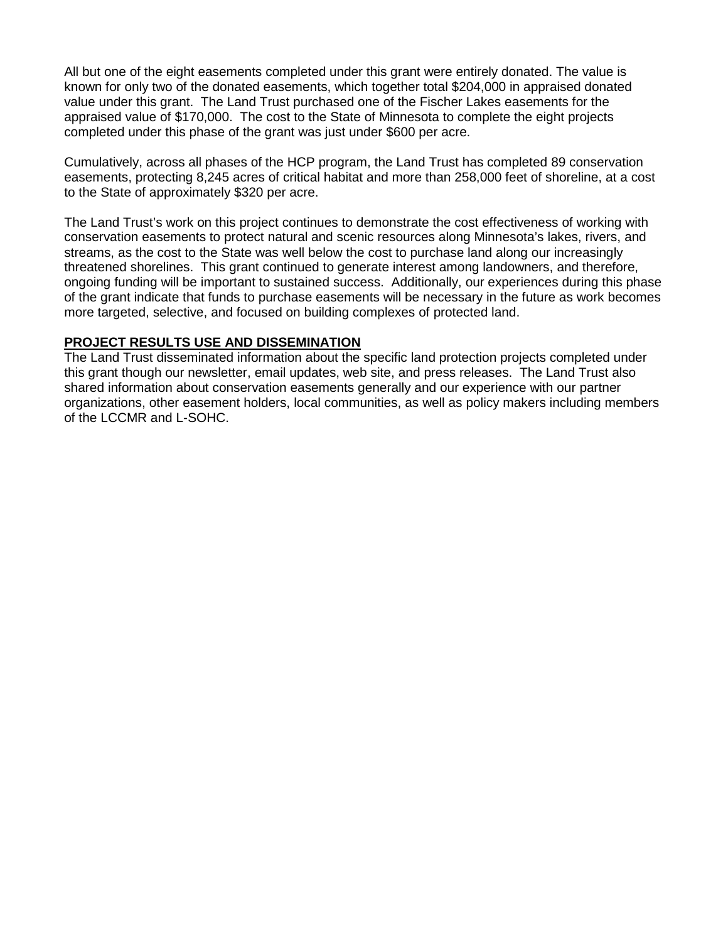All but one of the eight easements completed under this grant were entirely donated. The value is known for only two of the donated easements, which together total \$204,000 in appraised donated value under this grant. The Land Trust purchased one of the Fischer Lakes easements for the appraised value of \$170,000. The cost to the State of Minnesota to complete the eight projects completed under this phase of the grant was just under \$600 per acre.

Cumulatively, across all phases of the HCP program, the Land Trust has completed 89 conservation easements, protecting 8,245 acres of critical habitat and more than 258,000 feet of shoreline, at a cost to the State of approximately \$320 per acre.

The Land Trust's work on this project continues to demonstrate the cost effectiveness of working with conservation easements to protect natural and scenic resources along Minnesota's lakes, rivers, and streams, as the cost to the State was well below the cost to purchase land along our increasingly threatened shorelines. This grant continued to generate interest among landowners, and therefore, ongoing funding will be important to sustained success. Additionally, our experiences during this phase of the grant indicate that funds to purchase easements will be necessary in the future as work becomes more targeted, selective, and focused on building complexes of protected land.

#### **PROJECT RESULTS USE AND DISSEMINATION**

The Land Trust disseminated information about the specific land protection projects completed under this grant though our newsletter, email updates, web site, and press releases. The Land Trust also shared information about conservation easements generally and our experience with our partner organizations, other easement holders, local communities, as well as policy makers including members of the LCCMR and L-SOHC.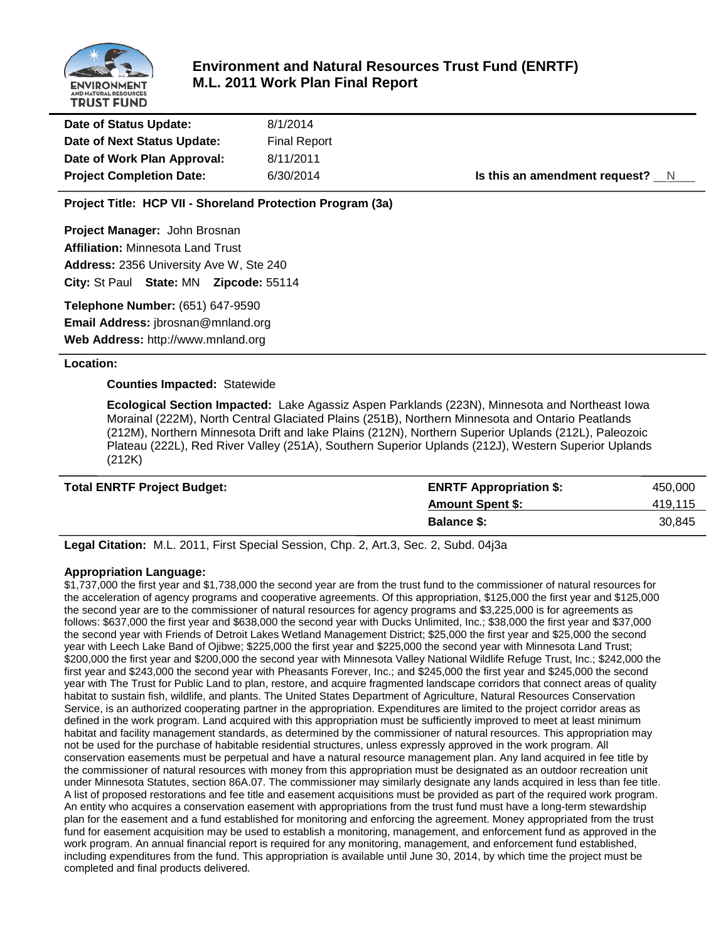

# **Environment and Natural Resources Trust Fund (ENRTF) M.L. 2011 Work Plan Final Report**

| Date of Status Update:          | 8/1/2014            |                                   |
|---------------------------------|---------------------|-----------------------------------|
| Date of Next Status Update:     | <b>Final Report</b> |                                   |
| Date of Work Plan Approval:     | 8/11/2011           |                                   |
| <b>Project Completion Date:</b> | 6/30/2014           | Is this an amendment request? $N$ |

**Project Title: HCP VII - Shoreland Protection Program (3a)**

**Project Manager:** John Brosnan **Affiliation:** Minnesota Land Trust **Address:** 2356 University Ave W, Ste 240 **City:** St Paul **State:** MN **Zipcode:** 55114

**Telephone Number:** (651) 647-9590

**Email Address:** jbrosnan@mnland.org

**Web Address:** http://www.mnland.org

#### **Location:**

#### **Counties Impacted:** Statewide

**Ecological Section Impacted:** Lake Agassiz Aspen Parklands (223N), Minnesota and Northeast Iowa Morainal (222M), North Central Glaciated Plains (251B), Northern Minnesota and Ontario Peatlands (212M), Northern Minnesota Drift and lake Plains (212N), Northern Superior Uplands (212L), Paleozoic Plateau (222L), Red River Valley (251A), Southern Superior Uplands (212J), Western Superior Uplands (212K)

| <b>Total ENRTF Project Budget:</b> | <b>ENRTF Appropriation \$:</b> | 450,000 |
|------------------------------------|--------------------------------|---------|
|                                    | <b>Amount Spent \$:</b>        | 419.115 |
|                                    | <b>Balance S:</b>              | 30.845  |

**Legal Citation:** M.L. 2011, First Special Session, Chp. 2, Art.3, Sec. 2, Subd. 04j3a

#### **Appropriation Language:**

\$1,737,000 the first year and \$1,738,000 the second year are from the trust fund to the commissioner of natural resources for the acceleration of agency programs and cooperative agreements. Of this appropriation, \$125,000 the first year and \$125,000 the second year are to the commissioner of natural resources for agency programs and \$3,225,000 is for agreements as follows: \$637,000 the first year and \$638,000 the second year with Ducks Unlimited, Inc.; \$38,000 the first year and \$37,000 the second year with Friends of Detroit Lakes Wetland Management District; \$25,000 the first year and \$25,000 the second year with Leech Lake Band of Ojibwe; \$225,000 the first year and \$225,000 the second year with Minnesota Land Trust; \$200,000 the first year and \$200,000 the second year with Minnesota Valley National Wildlife Refuge Trust, Inc.; \$242,000 the first year and \$243,000 the second year with Pheasants Forever, Inc.; and \$245,000 the first year and \$245,000 the second year with The Trust for Public Land to plan, restore, and acquire fragmented landscape corridors that connect areas of quality habitat to sustain fish, wildlife, and plants. The United States Department of Agriculture, Natural Resources Conservation Service, is an authorized cooperating partner in the appropriation. Expenditures are limited to the project corridor areas as defined in the work program. Land acquired with this appropriation must be sufficiently improved to meet at least minimum habitat and facility management standards, as determined by the commissioner of natural resources. This appropriation may not be used for the purchase of habitable residential structures, unless expressly approved in the work program. All conservation easements must be perpetual and have a natural resource management plan. Any land acquired in fee title by the commissioner of natural resources with money from this appropriation must be designated as an outdoor recreation unit under Minnesota Statutes, section 86A.07. The commissioner may similarly designate any lands acquired in less than fee title. A list of proposed restorations and fee title and easement acquisitions must be provided as part of the required work program. An entity who acquires a conservation easement with appropriations from the trust fund must have a long-term stewardship plan for the easement and a fund established for monitoring and enforcing the agreement. Money appropriated from the trust fund for easement acquisition may be used to establish a monitoring, management, and enforcement fund as approved in the work program. An annual financial report is required for any monitoring, management, and enforcement fund established, including expenditures from the fund. This appropriation is available until June 30, 2014, by which time the project must be completed and final products delivered.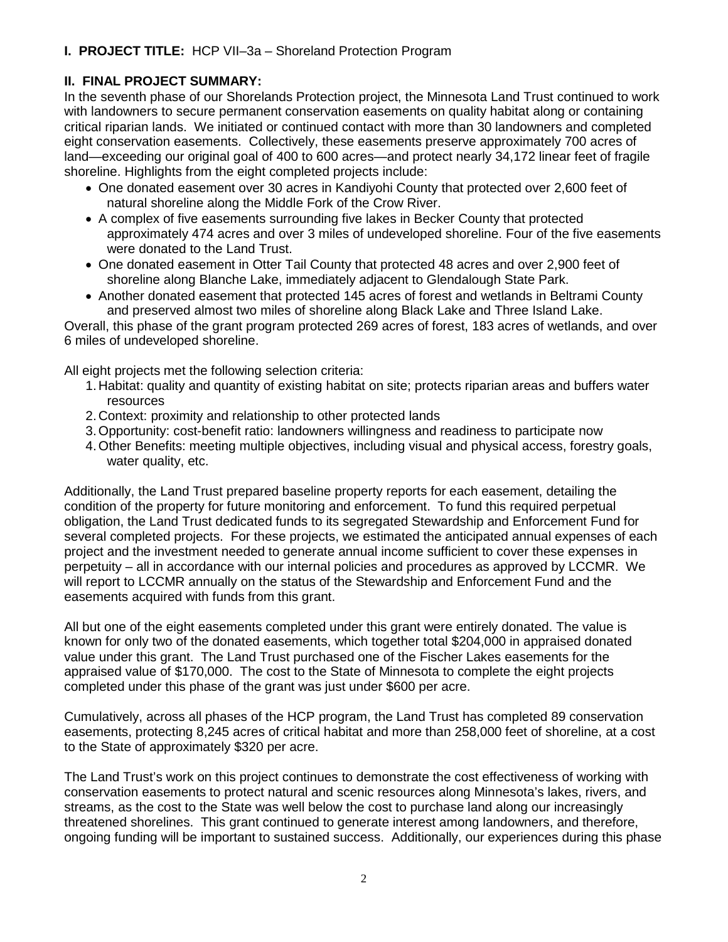# **I. PROJECT TITLE:** HCP VII–3a – Shoreland Protection Program

# **II. FINAL PROJECT SUMMARY:**

In the seventh phase of our Shorelands Protection project, the Minnesota Land Trust continued to work with landowners to secure permanent conservation easements on quality habitat along or containing critical riparian lands. We initiated or continued contact with more than 30 landowners and completed eight conservation easements. Collectively, these easements preserve approximately 700 acres of land—exceeding our original goal of 400 to 600 acres—and protect nearly 34,172 linear feet of fragile shoreline. Highlights from the eight completed projects include:

- One donated easement over 30 acres in Kandiyohi County that protected over 2,600 feet of natural shoreline along the Middle Fork of the Crow River.
- A complex of five easements surrounding five lakes in Becker County that protected approximately 474 acres and over 3 miles of undeveloped shoreline. Four of the five easements were donated to the Land Trust.
- One donated easement in Otter Tail County that protected 48 acres and over 2,900 feet of shoreline along Blanche Lake, immediately adjacent to Glendalough State Park.
- Another donated easement that protected 145 acres of forest and wetlands in Beltrami County and preserved almost two miles of shoreline along Black Lake and Three Island Lake.

Overall, this phase of the grant program protected 269 acres of forest, 183 acres of wetlands, and over 6 miles of undeveloped shoreline.

All eight projects met the following selection criteria:

- 1. Habitat: quality and quantity of existing habitat on site; protects riparian areas and buffers water resources
- 2. Context: proximity and relationship to other protected lands
- 3.Opportunity: cost-benefit ratio: landowners willingness and readiness to participate now
- 4.Other Benefits: meeting multiple objectives, including visual and physical access, forestry goals, water quality, etc.

Additionally, the Land Trust prepared baseline property reports for each easement, detailing the condition of the property for future monitoring and enforcement. To fund this required perpetual obligation, the Land Trust dedicated funds to its segregated Stewardship and Enforcement Fund for several completed projects. For these projects, we estimated the anticipated annual expenses of each project and the investment needed to generate annual income sufficient to cover these expenses in perpetuity – all in accordance with our internal policies and procedures as approved by LCCMR. We will report to LCCMR annually on the status of the Stewardship and Enforcement Fund and the easements acquired with funds from this grant.

All but one of the eight easements completed under this grant were entirely donated. The value is known for only two of the donated easements, which together total \$204,000 in appraised donated value under this grant. The Land Trust purchased one of the Fischer Lakes easements for the appraised value of \$170,000. The cost to the State of Minnesota to complete the eight projects completed under this phase of the grant was just under \$600 per acre.

Cumulatively, across all phases of the HCP program, the Land Trust has completed 89 conservation easements, protecting 8,245 acres of critical habitat and more than 258,000 feet of shoreline, at a cost to the State of approximately \$320 per acre.

The Land Trust's work on this project continues to demonstrate the cost effectiveness of working with conservation easements to protect natural and scenic resources along Minnesota's lakes, rivers, and streams, as the cost to the State was well below the cost to purchase land along our increasingly threatened shorelines. This grant continued to generate interest among landowners, and therefore, ongoing funding will be important to sustained success. Additionally, our experiences during this phase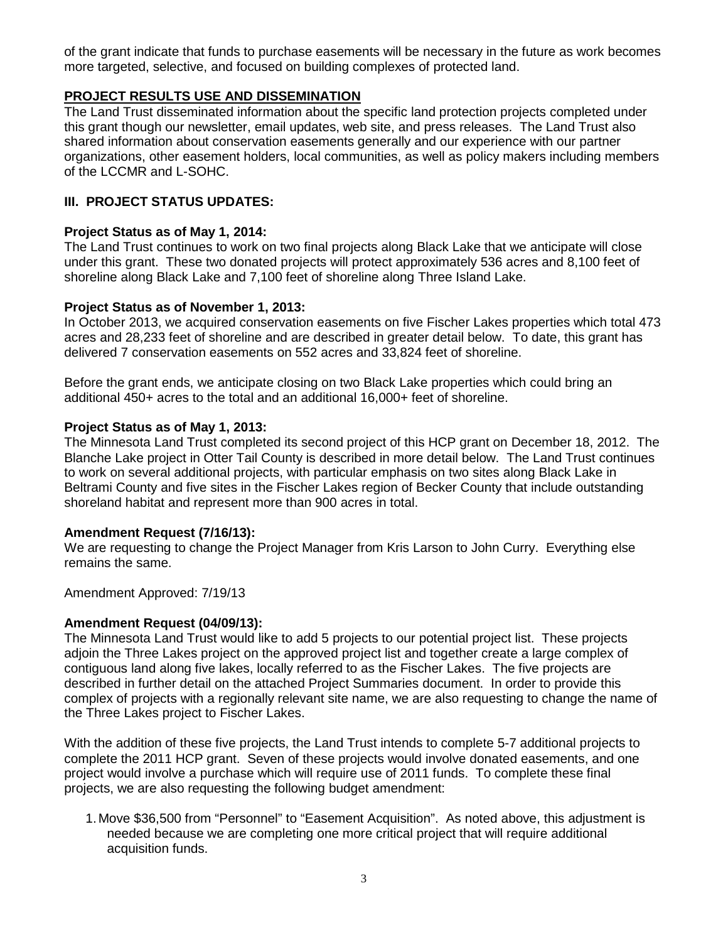of the grant indicate that funds to purchase easements will be necessary in the future as work becomes more targeted, selective, and focused on building complexes of protected land.

# **PROJECT RESULTS USE AND DISSEMINATION**

The Land Trust disseminated information about the specific land protection projects completed under this grant though our newsletter, email updates, web site, and press releases. The Land Trust also shared information about conservation easements generally and our experience with our partner organizations, other easement holders, local communities, as well as policy makers including members of the LCCMR and L-SOHC.

# **III. PROJECT STATUS UPDATES:**

# **Project Status as of May 1, 2014:**

The Land Trust continues to work on two final projects along Black Lake that we anticipate will close under this grant. These two donated projects will protect approximately 536 acres and 8,100 feet of shoreline along Black Lake and 7,100 feet of shoreline along Three Island Lake.

# **Project Status as of November 1, 2013:**

In October 2013, we acquired conservation easements on five Fischer Lakes properties which total 473 acres and 28,233 feet of shoreline and are described in greater detail below. To date, this grant has delivered 7 conservation easements on 552 acres and 33,824 feet of shoreline.

Before the grant ends, we anticipate closing on two Black Lake properties which could bring an additional 450+ acres to the total and an additional 16,000+ feet of shoreline.

# **Project Status as of May 1, 2013:**

The Minnesota Land Trust completed its second project of this HCP grant on December 18, 2012. The Blanche Lake project in Otter Tail County is described in more detail below. The Land Trust continues to work on several additional projects, with particular emphasis on two sites along Black Lake in Beltrami County and five sites in the Fischer Lakes region of Becker County that include outstanding shoreland habitat and represent more than 900 acres in total.

# **Amendment Request (7/16/13):**

We are requesting to change the Project Manager from Kris Larson to John Curry. Everything else remains the same.

Amendment Approved: 7/19/13

# **Amendment Request (04/09/13):**

The Minnesota Land Trust would like to add 5 projects to our potential project list. These projects adjoin the Three Lakes project on the approved project list and together create a large complex of contiguous land along five lakes, locally referred to as the Fischer Lakes. The five projects are described in further detail on the attached Project Summaries document. In order to provide this complex of projects with a regionally relevant site name, we are also requesting to change the name of the Three Lakes project to Fischer Lakes.

With the addition of these five projects, the Land Trust intends to complete 5-7 additional projects to complete the 2011 HCP grant. Seven of these projects would involve donated easements, and one project would involve a purchase which will require use of 2011 funds. To complete these final projects, we are also requesting the following budget amendment:

1. Move \$36,500 from "Personnel" to "Easement Acquisition". As noted above, this adjustment is needed because we are completing one more critical project that will require additional acquisition funds.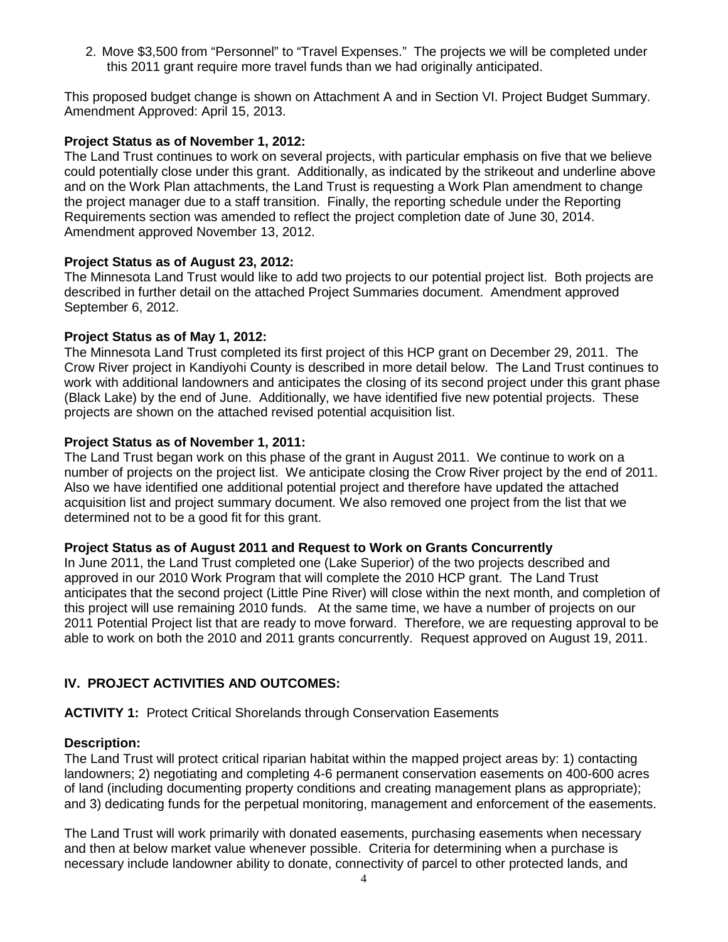2. Move \$3,500 from "Personnel" to "Travel Expenses." The projects we will be completed under this 2011 grant require more travel funds than we had originally anticipated.

This proposed budget change is shown on Attachment A and in Section VI. Project Budget Summary. Amendment Approved: April 15, 2013.

# **Project Status as of November 1, 2012:**

The Land Trust continues to work on several projects, with particular emphasis on five that we believe could potentially close under this grant. Additionally, as indicated by the strikeout and underline above and on the Work Plan attachments, the Land Trust is requesting a Work Plan amendment to change the project manager due to a staff transition. Finally, the reporting schedule under the Reporting Requirements section was amended to reflect the project completion date of June 30, 2014. Amendment approved November 13, 2012.

# **Project Status as of August 23, 2012:**

The Minnesota Land Trust would like to add two projects to our potential project list. Both projects are described in further detail on the attached Project Summaries document. Amendment approved September 6, 2012.

#### **Project Status as of May 1, 2012:**

The Minnesota Land Trust completed its first project of this HCP grant on December 29, 2011. The Crow River project in Kandiyohi County is described in more detail below. The Land Trust continues to work with additional landowners and anticipates the closing of its second project under this grant phase (Black Lake) by the end of June. Additionally, we have identified five new potential projects. These projects are shown on the attached revised potential acquisition list.

#### **Project Status as of November 1, 2011:**

The Land Trust began work on this phase of the grant in August 2011. We continue to work on a number of projects on the project list. We anticipate closing the Crow River project by the end of 2011. Also we have identified one additional potential project and therefore have updated the attached acquisition list and project summary document. We also removed one project from the list that we determined not to be a good fit for this grant.

#### **Project Status as of August 2011 and Request to Work on Grants Concurrently**

In June 2011, the Land Trust completed one (Lake Superior) of the two projects described and approved in our 2010 Work Program that will complete the 2010 HCP grant. The Land Trust anticipates that the second project (Little Pine River) will close within the next month, and completion of this project will use remaining 2010 funds. At the same time, we have a number of projects on our 2011 Potential Project list that are ready to move forward. Therefore, we are requesting approval to be able to work on both the 2010 and 2011 grants concurrently. Request approved on August 19, 2011.

# **IV. PROJECT ACTIVITIES AND OUTCOMES:**

# **ACTIVITY 1:** Protect Critical Shorelands through Conservation Easements

#### **Description:**

The Land Trust will protect critical riparian habitat within the mapped project areas by: 1) contacting landowners; 2) negotiating and completing 4-6 permanent conservation easements on 400-600 acres of land (including documenting property conditions and creating management plans as appropriate); and 3) dedicating funds for the perpetual monitoring, management and enforcement of the easements.

The Land Trust will work primarily with donated easements, purchasing easements when necessary and then at below market value whenever possible. Criteria for determining when a purchase is necessary include landowner ability to donate, connectivity of parcel to other protected lands, and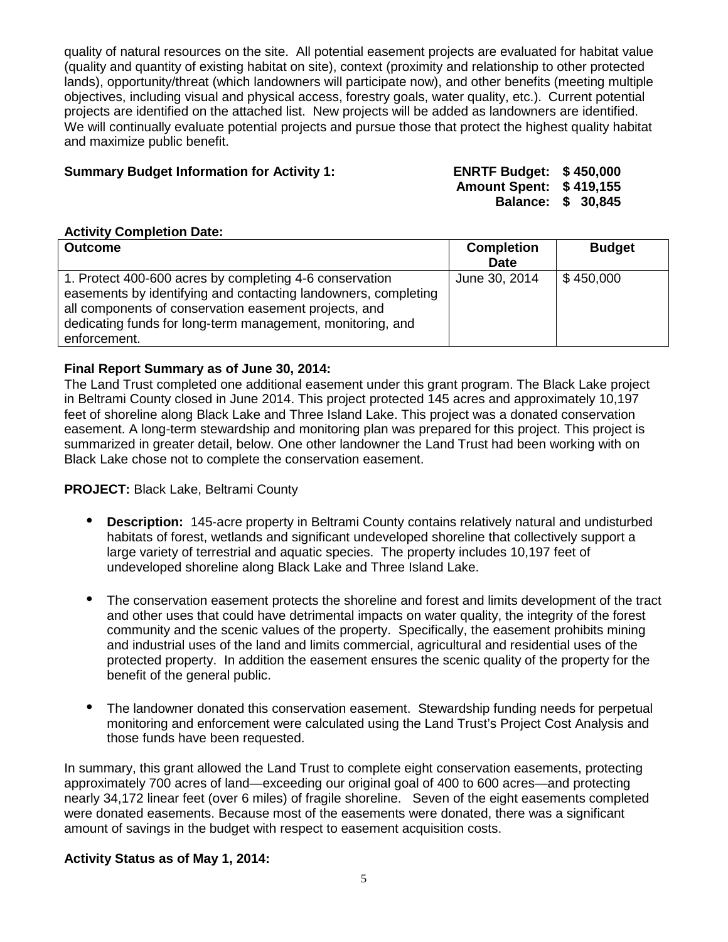quality of natural resources on the site. All potential easement projects are evaluated for habitat value (quality and quantity of existing habitat on site), context (proximity and relationship to other protected lands), opportunity/threat (which landowners will participate now), and other benefits (meeting multiple objectives, including visual and physical access, forestry goals, water quality, etc.). Current potential projects are identified on the attached list. New projects will be added as landowners are identified. We will continually evaluate potential projects and pursue those that protect the highest quality habitat and maximize public benefit.

# **Summary Budget Information for Activity 1: ENRTF Budget: \$ 450,000**

**Amount Spent: \$ 419,155 Balance: \$ 30,845**

#### **Activity Completion Date:**

| <b>Outcome</b>                                                 | <b>Completion</b> | <b>Budget</b> |
|----------------------------------------------------------------|-------------------|---------------|
|                                                                | <b>Date</b>       |               |
| 1. Protect 400-600 acres by completing 4-6 conservation        | June 30, 2014     | $\$450,000$   |
| easements by identifying and contacting landowners, completing |                   |               |
| all components of conservation easement projects, and          |                   |               |
| dedicating funds for long-term management, monitoring, and     |                   |               |
| enforcement.                                                   |                   |               |

#### **Final Report Summary as of June 30, 2014:**

The Land Trust completed one additional easement under this grant program. The Black Lake project in Beltrami County closed in June 2014. This project protected 145 acres and approximately 10,197 feet of shoreline along Black Lake and Three Island Lake. This project was a donated conservation easement. A long-term stewardship and monitoring plan was prepared for this project. This project is summarized in greater detail, below. One other landowner the Land Trust had been working with on Black Lake chose not to complete the conservation easement.

#### **PROJECT:** Black Lake, Beltrami County

- **Description:** 145-acre property in Beltrami County contains relatively natural and undisturbed habitats of forest, wetlands and significant undeveloped shoreline that collectively support a large variety of terrestrial and aquatic species. The property includes 10,197 feet of undeveloped shoreline along Black Lake and Three Island Lake.
- The conservation easement protects the shoreline and forest and limits development of the tract and other uses that could have detrimental impacts on water quality, the integrity of the forest community and the scenic values of the property. Specifically, the easement prohibits mining and industrial uses of the land and limits commercial, agricultural and residential uses of the protected property. In addition the easement ensures the scenic quality of the property for the benefit of the general public.
- The landowner donated this conservation easement. Stewardship funding needs for perpetual monitoring and enforcement were calculated using the Land Trust's Project Cost Analysis and those funds have been requested.

In summary, this grant allowed the Land Trust to complete eight conservation easements, protecting approximately 700 acres of land—exceeding our original goal of 400 to 600 acres—and protecting nearly 34,172 linear feet (over 6 miles) of fragile shoreline. Seven of the eight easements completed were donated easements. Because most of the easements were donated, there was a significant amount of savings in the budget with respect to easement acquisition costs.

#### **Activity Status as of May 1, 2014:**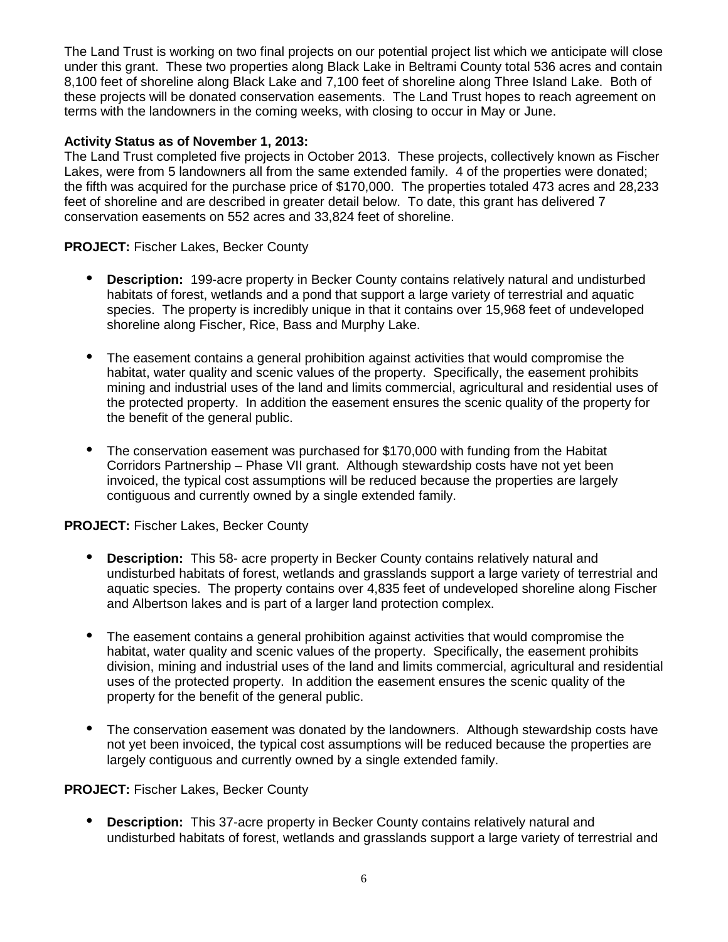The Land Trust is working on two final projects on our potential project list which we anticipate will close under this grant. These two properties along Black Lake in Beltrami County total 536 acres and contain 8,100 feet of shoreline along Black Lake and 7,100 feet of shoreline along Three Island Lake. Both of these projects will be donated conservation easements. The Land Trust hopes to reach agreement on terms with the landowners in the coming weeks, with closing to occur in May or June.

# **Activity Status as of November 1, 2013:**

The Land Trust completed five projects in October 2013. These projects, collectively known as Fischer Lakes, were from 5 landowners all from the same extended family. 4 of the properties were donated; the fifth was acquired for the purchase price of \$170,000. The properties totaled 473 acres and 28,233 feet of shoreline and are described in greater detail below. To date, this grant has delivered 7 conservation easements on 552 acres and 33,824 feet of shoreline.

# **PROJECT:** Fischer Lakes, Becker County

- **Description:** 199-acre property in Becker County contains relatively natural and undisturbed habitats of forest, wetlands and a pond that support a large variety of terrestrial and aquatic species. The property is incredibly unique in that it contains over 15,968 feet of undeveloped shoreline along Fischer, Rice, Bass and Murphy Lake.
- The easement contains a general prohibition against activities that would compromise the habitat, water quality and scenic values of the property. Specifically, the easement prohibits mining and industrial uses of the land and limits commercial, agricultural and residential uses of the protected property. In addition the easement ensures the scenic quality of the property for the benefit of the general public.
- The conservation easement was purchased for \$170,000 with funding from the Habitat Corridors Partnership – Phase VII grant. Although stewardship costs have not yet been invoiced, the typical cost assumptions will be reduced because the properties are largely contiguous and currently owned by a single extended family.

# **PROJECT:** Fischer Lakes, Becker County

- **Description:** This 58- acre property in Becker County contains relatively natural and undisturbed habitats of forest, wetlands and grasslands support a large variety of terrestrial and aquatic species. The property contains over 4,835 feet of undeveloped shoreline along Fischer and Albertson lakes and is part of a larger land protection complex.
- The easement contains a general prohibition against activities that would compromise the habitat, water quality and scenic values of the property. Specifically, the easement prohibits division, mining and industrial uses of the land and limits commercial, agricultural and residential uses of the protected property. In addition the easement ensures the scenic quality of the property for the benefit of the general public.
- The conservation easement was donated by the landowners. Although stewardship costs have not yet been invoiced, the typical cost assumptions will be reduced because the properties are largely contiguous and currently owned by a single extended family.

# **PROJECT:** Fischer Lakes, Becker County

 **Description:** This 37-acre property in Becker County contains relatively natural and undisturbed habitats of forest, wetlands and grasslands support a large variety of terrestrial and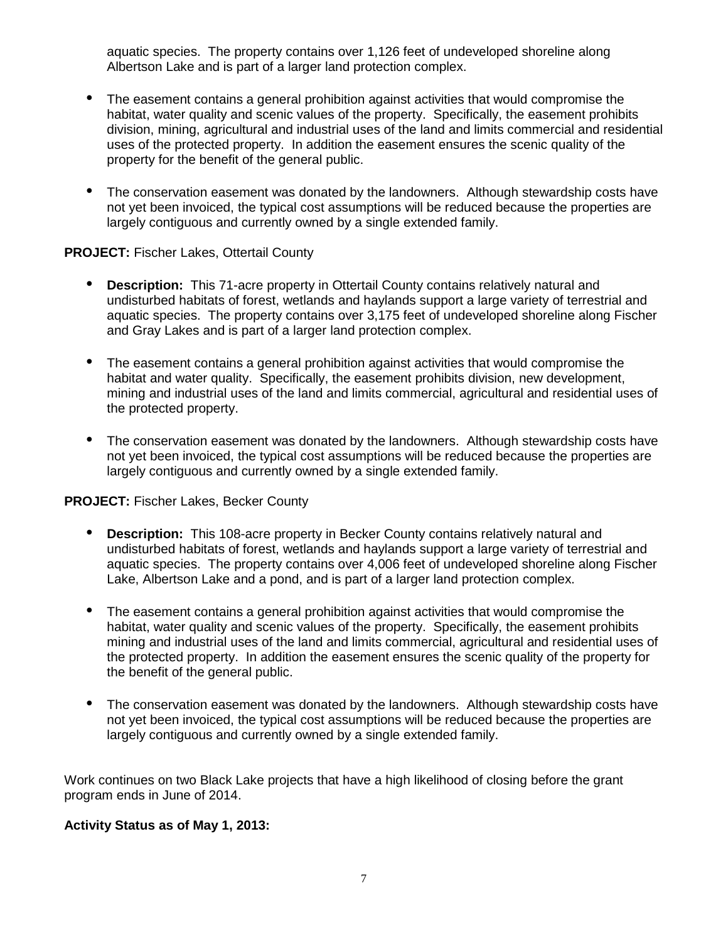aquatic species. The property contains over 1,126 feet of undeveloped shoreline along Albertson Lake and is part of a larger land protection complex.

- The easement contains a general prohibition against activities that would compromise the habitat, water quality and scenic values of the property. Specifically, the easement prohibits division, mining, agricultural and industrial uses of the land and limits commercial and residential uses of the protected property. In addition the easement ensures the scenic quality of the property for the benefit of the general public.
- The conservation easement was donated by the landowners. Although stewardship costs have not yet been invoiced, the typical cost assumptions will be reduced because the properties are largely contiguous and currently owned by a single extended family.

#### **PROJECT:** Fischer Lakes, Ottertail County

- **Description:** This 71-acre property in Ottertail County contains relatively natural and undisturbed habitats of forest, wetlands and haylands support a large variety of terrestrial and aquatic species. The property contains over 3,175 feet of undeveloped shoreline along Fischer and Gray Lakes and is part of a larger land protection complex.
- The easement contains a general prohibition against activities that would compromise the habitat and water quality. Specifically, the easement prohibits division, new development, mining and industrial uses of the land and limits commercial, agricultural and residential uses of the protected property.
- The conservation easement was donated by the landowners. Although stewardship costs have not yet been invoiced, the typical cost assumptions will be reduced because the properties are largely contiguous and currently owned by a single extended family.

# **PROJECT:** Fischer Lakes, Becker County

- **Description:** This 108-acre property in Becker County contains relatively natural and undisturbed habitats of forest, wetlands and haylands support a large variety of terrestrial and aquatic species. The property contains over 4,006 feet of undeveloped shoreline along Fischer Lake, Albertson Lake and a pond, and is part of a larger land protection complex.
- The easement contains a general prohibition against activities that would compromise the habitat, water quality and scenic values of the property. Specifically, the easement prohibits mining and industrial uses of the land and limits commercial, agricultural and residential uses of the protected property. In addition the easement ensures the scenic quality of the property for the benefit of the general public.
- The conservation easement was donated by the landowners. Although stewardship costs have not yet been invoiced, the typical cost assumptions will be reduced because the properties are largely contiguous and currently owned by a single extended family.

Work continues on two Black Lake projects that have a high likelihood of closing before the grant program ends in June of 2014.

#### **Activity Status as of May 1, 2013:**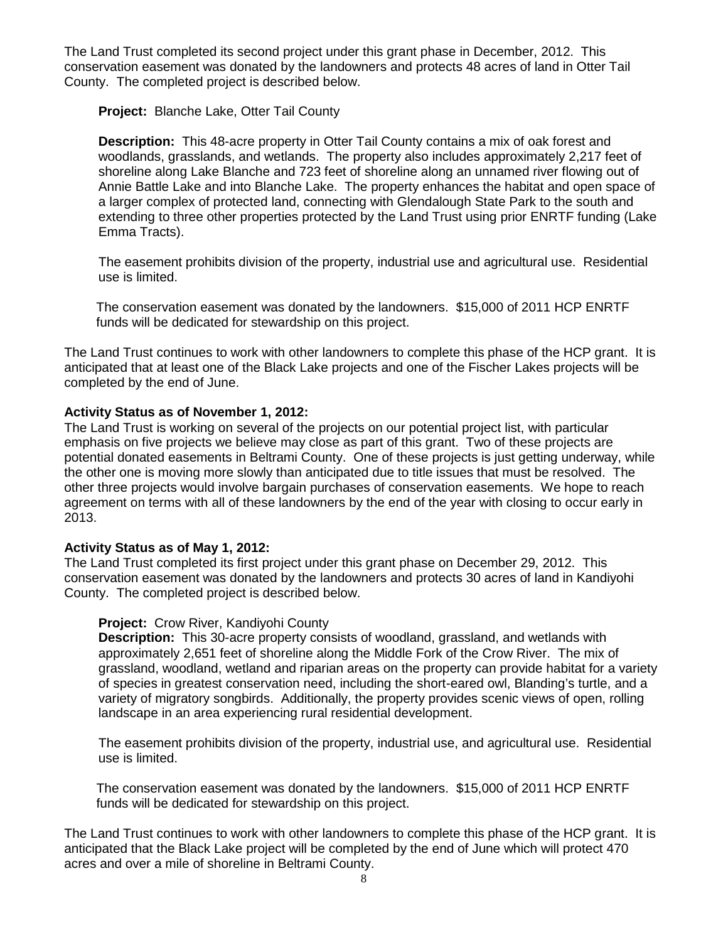The Land Trust completed its second project under this grant phase in December, 2012. This conservation easement was donated by the landowners and protects 48 acres of land in Otter Tail County. The completed project is described below.

**Project:** Blanche Lake, Otter Tail County

**Description:** This 48-acre property in Otter Tail County contains a mix of oak forest and woodlands, grasslands, and wetlands. The property also includes approximately 2,217 feet of shoreline along Lake Blanche and 723 feet of shoreline along an unnamed river flowing out of Annie Battle Lake and into Blanche Lake. The property enhances the habitat and open space of a larger complex of protected land, connecting with Glendalough State Park to the south and extending to three other properties protected by the Land Trust using prior ENRTF funding (Lake Emma Tracts).

The easement prohibits division of the property, industrial use and agricultural use. Residential use is limited.

The conservation easement was donated by the landowners. \$15,000 of 2011 HCP ENRTF funds will be dedicated for stewardship on this project.

The Land Trust continues to work with other landowners to complete this phase of the HCP grant. It is anticipated that at least one of the Black Lake projects and one of the Fischer Lakes projects will be completed by the end of June.

#### **Activity Status as of November 1, 2012:**

The Land Trust is working on several of the projects on our potential project list, with particular emphasis on five projects we believe may close as part of this grant. Two of these projects are potential donated easements in Beltrami County. One of these projects is just getting underway, while the other one is moving more slowly than anticipated due to title issues that must be resolved. The other three projects would involve bargain purchases of conservation easements. We hope to reach agreement on terms with all of these landowners by the end of the year with closing to occur early in 2013.

#### **Activity Status as of May 1, 2012:**

The Land Trust completed its first project under this grant phase on December 29, 2012. This conservation easement was donated by the landowners and protects 30 acres of land in Kandiyohi County. The completed project is described below.

#### **Project:** Crow River, Kandiyohi County

**Description:** This 30-acre property consists of woodland, grassland, and wetlands with approximately 2,651 feet of shoreline along the Middle Fork of the Crow River. The mix of grassland, woodland, wetland and riparian areas on the property can provide habitat for a variety of species in greatest conservation need, including the short-eared owl, Blanding's turtle, and a variety of migratory songbirds. Additionally, the property provides scenic views of open, rolling landscape in an area experiencing rural residential development.

The easement prohibits division of the property, industrial use, and agricultural use. Residential use is limited.

The conservation easement was donated by the landowners. \$15,000 of 2011 HCP ENRTF funds will be dedicated for stewardship on this project.

The Land Trust continues to work with other landowners to complete this phase of the HCP grant. It is anticipated that the Black Lake project will be completed by the end of June which will protect 470 acres and over a mile of shoreline in Beltrami County.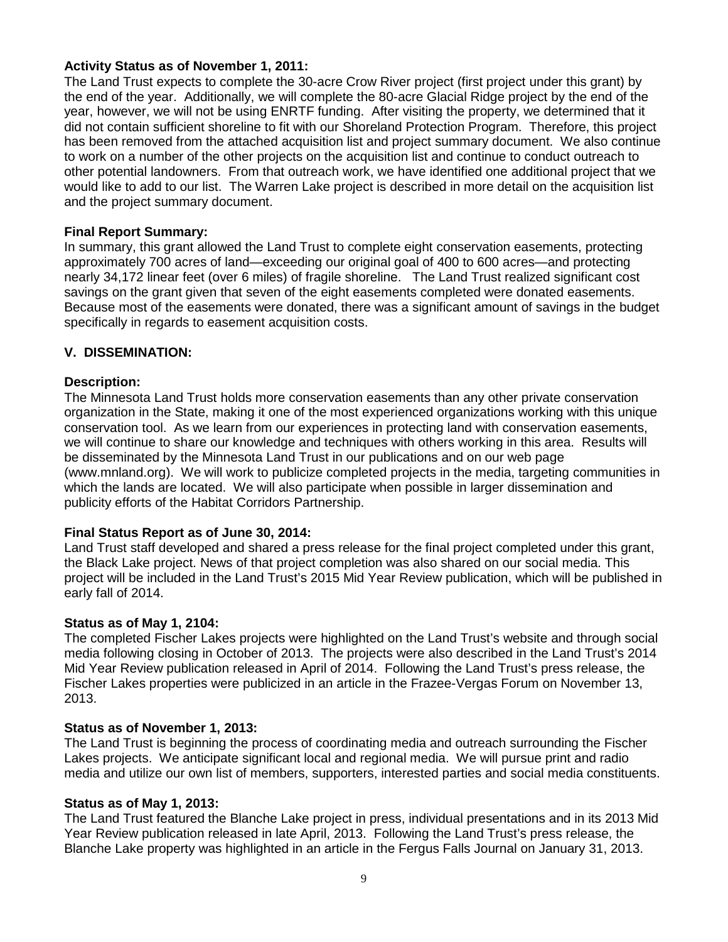#### **Activity Status as of November 1, 2011:**

The Land Trust expects to complete the 30-acre Crow River project (first project under this grant) by the end of the year. Additionally, we will complete the 80-acre Glacial Ridge project by the end of the year, however, we will not be using ENRTF funding. After visiting the property, we determined that it did not contain sufficient shoreline to fit with our Shoreland Protection Program. Therefore, this project has been removed from the attached acquisition list and project summary document. We also continue to work on a number of the other projects on the acquisition list and continue to conduct outreach to other potential landowners. From that outreach work, we have identified one additional project that we would like to add to our list. The Warren Lake project is described in more detail on the acquisition list and the project summary document.

#### **Final Report Summary:**

In summary, this grant allowed the Land Trust to complete eight conservation easements, protecting approximately 700 acres of land—exceeding our original goal of 400 to 600 acres—and protecting nearly 34,172 linear feet (over 6 miles) of fragile shoreline. The Land Trust realized significant cost savings on the grant given that seven of the eight easements completed were donated easements. Because most of the easements were donated, there was a significant amount of savings in the budget specifically in regards to easement acquisition costs.

#### **V. DISSEMINATION:**

#### **Description:**

The Minnesota Land Trust holds more conservation easements than any other private conservation organization in the State, making it one of the most experienced organizations working with this unique conservation tool. As we learn from our experiences in protecting land with conservation easements, we will continue to share our knowledge and techniques with others working in this area. Results will be disseminated by the Minnesota Land Trust in our publications and on our web page (www.mnland.org). We will work to publicize completed projects in the media, targeting communities in which the lands are located. We will also participate when possible in larger dissemination and publicity efforts of the Habitat Corridors Partnership.

#### **Final Status Report as of June 30, 2014:**

Land Trust staff developed and shared a press release for the final project completed under this grant, the Black Lake project. News of that project completion was also shared on our social media. This project will be included in the Land Trust's 2015 Mid Year Review publication, which will be published in early fall of 2014.

#### **Status as of May 1, 2104:**

The completed Fischer Lakes projects were highlighted on the Land Trust's website and through social media following closing in October of 2013. The projects were also described in the Land Trust's 2014 Mid Year Review publication released in April of 2014. Following the Land Trust's press release, the Fischer Lakes properties were publicized in an article in the Frazee-Vergas Forum on November 13, 2013.

#### **Status as of November 1, 2013:**

The Land Trust is beginning the process of coordinating media and outreach surrounding the Fischer Lakes projects. We anticipate significant local and regional media. We will pursue print and radio media and utilize our own list of members, supporters, interested parties and social media constituents.

#### **Status as of May 1, 2013:**

The Land Trust featured the Blanche Lake project in press, individual presentations and in its 2013 Mid Year Review publication released in late April, 2013. Following the Land Trust's press release, the Blanche Lake property was highlighted in an article in the Fergus Falls Journal on January 31, 2013.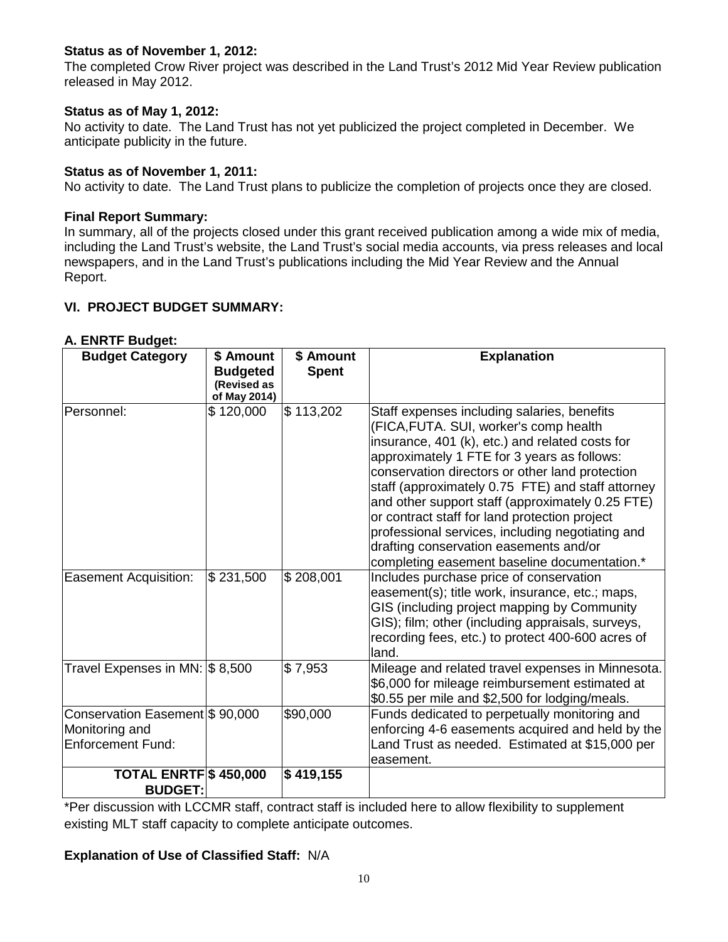# **Status as of November 1, 2012:**

The completed Crow River project was described in the Land Trust's 2012 Mid Year Review publication released in May 2012.

# **Status as of May 1, 2012:**

No activity to date. The Land Trust has not yet publicized the project completed in December. We anticipate publicity in the future.

# **Status as of November 1, 2011:**

No activity to date. The Land Trust plans to publicize the completion of projects once they are closed.

# **Final Report Summary:**

In summary, all of the projects closed under this grant received publication among a wide mix of media, including the Land Trust's website, the Land Trust's social media accounts, via press releases and local newspapers, and in the Land Trust's publications including the Mid Year Review and the Annual Report.

# **VI. PROJECT BUDGET SUMMARY:**

| <b>Budget Category</b>         | \$ Amount       | \$ Amount    | <b>Explanation</b>                                |
|--------------------------------|-----------------|--------------|---------------------------------------------------|
|                                | <b>Budgeted</b> | <b>Spent</b> |                                                   |
|                                | (Revised as     |              |                                                   |
|                                | of May 2014)    |              |                                                   |
| Personnel:                     | \$120,000       | \$113,202    | Staff expenses including salaries, benefits       |
|                                |                 |              | (FICA, FUTA. SUI, worker's comp health            |
|                                |                 |              | insurance, 401 (k), etc.) and related costs for   |
|                                |                 |              | approximately 1 FTE for 3 years as follows:       |
|                                |                 |              | conservation directors or other land protection   |
|                                |                 |              | staff (approximately 0.75 FTE) and staff attorney |
|                                |                 |              | and other support staff (approximately 0.25 FTE)  |
|                                |                 |              | or contract staff for land protection project     |
|                                |                 |              | professional services, including negotiating and  |
|                                |                 |              | drafting conservation easements and/or            |
|                                |                 |              | completing easement baseline documentation.*      |
| <b>Easement Acquisition:</b>   | \$231,500       | \$208,001    | Includes purchase price of conservation           |
|                                |                 |              | easement(s); title work, insurance, etc.; maps,   |
|                                |                 |              | GIS (including project mapping by Community       |
|                                |                 |              | GIS); film; other (including appraisals, surveys, |
|                                |                 |              | recording fees, etc.) to protect 400-600 acres of |
|                                |                 |              | land.                                             |
| Travel Expenses in MN: \$8,500 |                 | \$7,953      | Mileage and related travel expenses in Minnesota. |
|                                |                 |              | \$6,000 for mileage reimbursement estimated at    |
|                                |                 |              | \$0.55 per mile and \$2,500 for lodging/meals.    |
| Conservation Easement \$90,000 |                 | \$90,000     | Funds dedicated to perpetually monitoring and     |
| Monitoring and                 |                 |              | enforcing 4-6 easements acquired and held by the  |
| <b>Enforcement Fund:</b>       |                 |              | Land Trust as needed. Estimated at \$15,000 per   |
|                                |                 |              | easement.                                         |
| <b>TOTAL ENRTF \$450,000</b>   |                 | \$419,155    |                                                   |
| <b>BUDGET:</b>                 |                 |              |                                                   |

# **A. ENRTF Budget:**

\*Per discussion with LCCMR staff, contract staff is included here to allow flexibility to supplement existing MLT staff capacity to complete anticipate outcomes.

# **Explanation of Use of Classified Staff:** N/A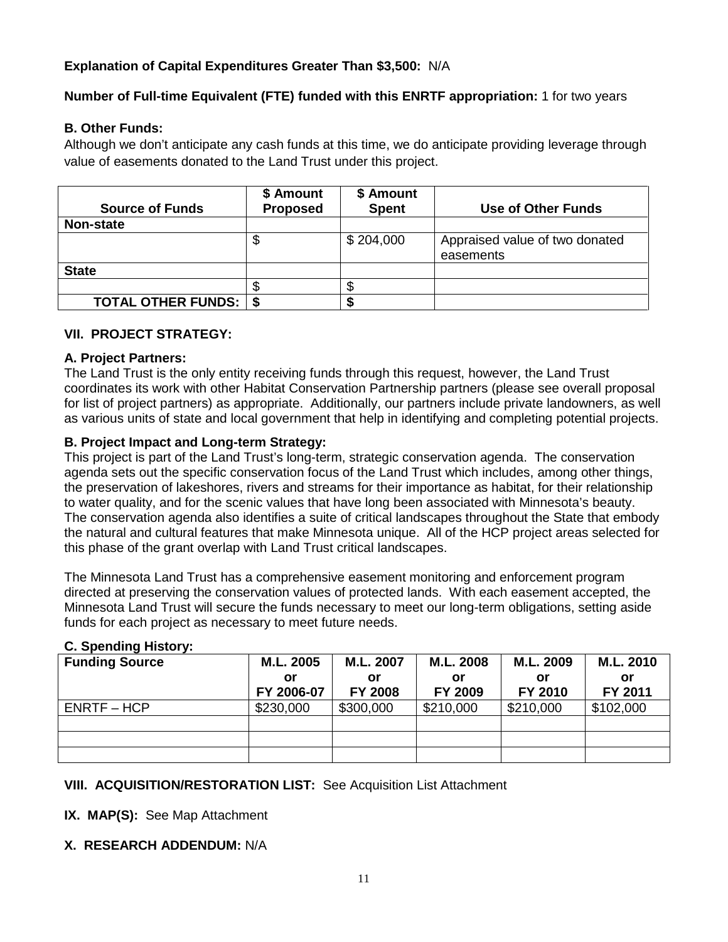# **Explanation of Capital Expenditures Greater Than \$3,500:** N/A

# **Number of Full-time Equivalent (FTE) funded with this ENRTF appropriation:** 1 for two years

# **B. Other Funds:**

Although we don't anticipate any cash funds at this time, we do anticipate providing leverage through value of easements donated to the Land Trust under this project.

| <b>Source of Funds</b>         | \$ Amount<br><b>Proposed</b> | \$ Amount<br><b>Spent</b> | Use of Other Funds                          |
|--------------------------------|------------------------------|---------------------------|---------------------------------------------|
| Non-state                      |                              |                           |                                             |
|                                | Φ                            | \$204,000                 | Appraised value of two donated<br>easements |
| <b>State</b>                   |                              |                           |                                             |
|                                |                              |                           |                                             |
| <b>TOTAL OTHER FUNDS:   \$</b> |                              |                           |                                             |

#### **VII. PROJECT STRATEGY:**

#### **A. Project Partners:**

The Land Trust is the only entity receiving funds through this request, however, the Land Trust coordinates its work with other Habitat Conservation Partnership partners (please see overall proposal for list of project partners) as appropriate. Additionally, our partners include private landowners, as well as various units of state and local government that help in identifying and completing potential projects.

# **B. Project Impact and Long-term Strategy:**

This project is part of the Land Trust's long-term, strategic conservation agenda. The conservation agenda sets out the specific conservation focus of the Land Trust which includes, among other things, the preservation of lakeshores, rivers and streams for their importance as habitat, for their relationship to water quality, and for the scenic values that have long been associated with Minnesota's beauty. The conservation agenda also identifies a suite of critical landscapes throughout the State that embody the natural and cultural features that make Minnesota unique. All of the HCP project areas selected for this phase of the grant overlap with Land Trust critical landscapes.

The Minnesota Land Trust has a comprehensive easement monitoring and enforcement program directed at preserving the conservation values of protected lands. With each easement accepted, the Minnesota Land Trust will secure the funds necessary to meet our long-term obligations, setting aside funds for each project as necessary to meet future needs.

#### **C. Spending History:**

| <b>Funding Source</b> | M.L. 2005  | M.L. 2007      | M.L. 2008 | M.L. 2009 | M.L. 2010 |  |
|-----------------------|------------|----------------|-----------|-----------|-----------|--|
|                       | or         | or             | or        | or        | or        |  |
|                       | FY 2006-07 | <b>FY 2008</b> | FY 2009   | FY 2010   | FY 2011   |  |
| $ENRTF - HCP$         | \$230,000  | \$300,000      | \$210,000 | \$210,000 | \$102,000 |  |
|                       |            |                |           |           |           |  |
|                       |            |                |           |           |           |  |
|                       |            |                |           |           |           |  |

# **VIII. ACQUISITION/RESTORATION LIST:** See Acquisition List Attachment

# **IX. MAP(S):** See Map Attachment

# **X. RESEARCH ADDENDUM:** N/A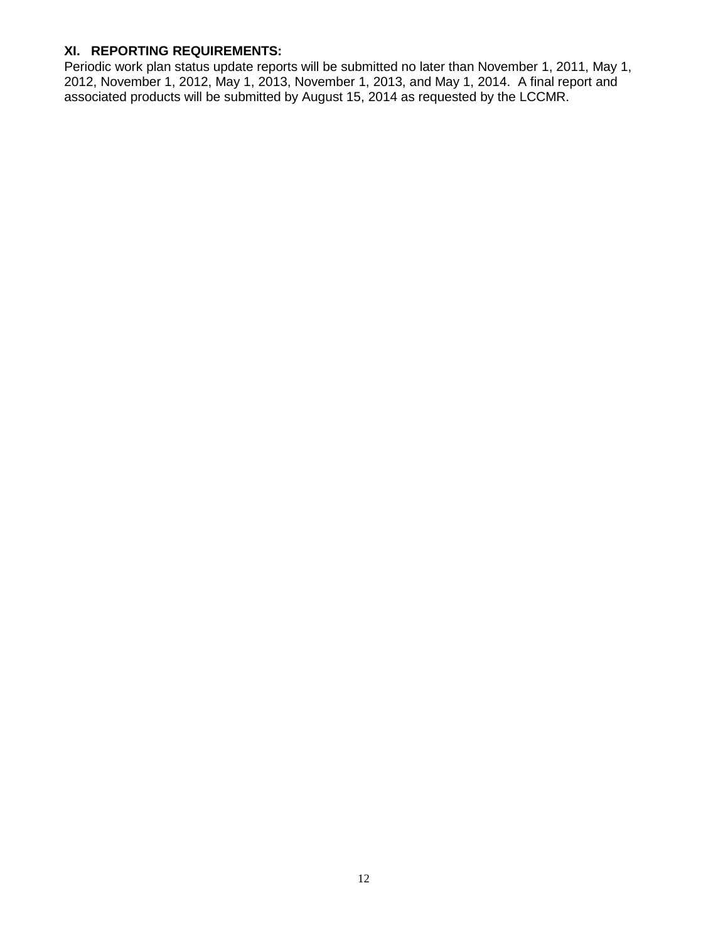# **XI. REPORTING REQUIREMENTS:**

Periodic work plan status update reports will be submitted no later than November 1, 2011, May 1, 2012, November 1, 2012, May 1, 2013, November 1, 2013, and May 1, 2014. A final report and associated products will be submitted by August 15, 2014 as requested by the LCCMR.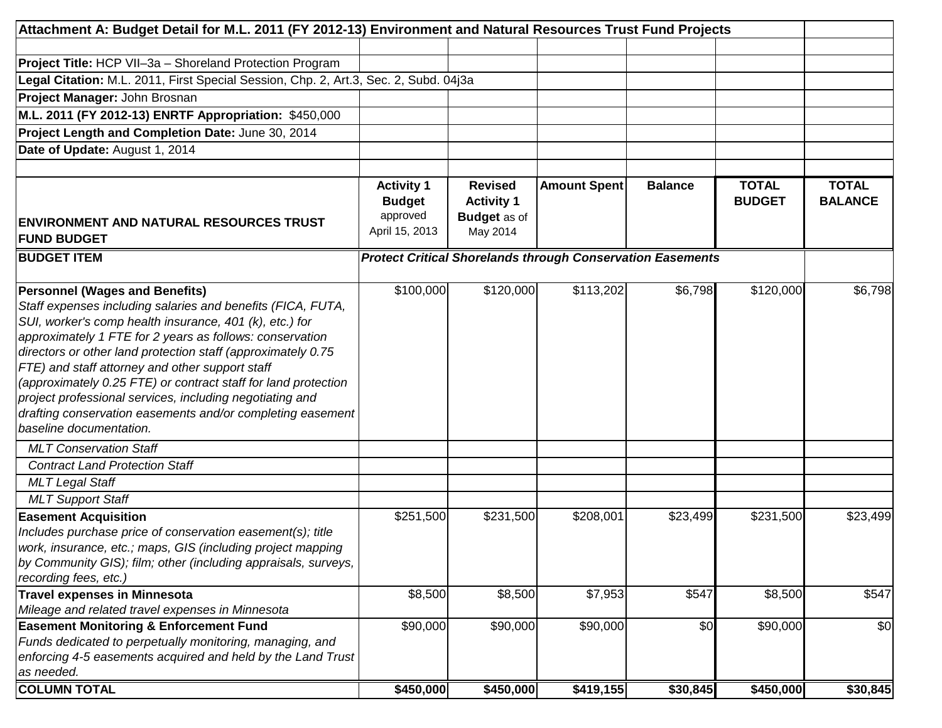| Attachment A: Budget Detail for M.L. 2011 (FY 2012-13) Environment and Natural Resources Trust Fund Projects                                                                                                                                                                                                                                                                                                                                                                                                                                                                                                                                                              |                                                                  |                                                                        |                                                                   |                |                               |                                |
|---------------------------------------------------------------------------------------------------------------------------------------------------------------------------------------------------------------------------------------------------------------------------------------------------------------------------------------------------------------------------------------------------------------------------------------------------------------------------------------------------------------------------------------------------------------------------------------------------------------------------------------------------------------------------|------------------------------------------------------------------|------------------------------------------------------------------------|-------------------------------------------------------------------|----------------|-------------------------------|--------------------------------|
| <b>Project Title: HCP VII-3a - Shoreland Protection Program</b>                                                                                                                                                                                                                                                                                                                                                                                                                                                                                                                                                                                                           |                                                                  |                                                                        |                                                                   |                |                               |                                |
| Legal Citation: M.L. 2011, First Special Session, Chp. 2, Art.3, Sec. 2, Subd. 04j3a                                                                                                                                                                                                                                                                                                                                                                                                                                                                                                                                                                                      |                                                                  |                                                                        |                                                                   |                |                               |                                |
| Project Manager: John Brosnan                                                                                                                                                                                                                                                                                                                                                                                                                                                                                                                                                                                                                                             |                                                                  |                                                                        |                                                                   |                |                               |                                |
| M.L. 2011 (FY 2012-13) ENRTF Appropriation: \$450,000                                                                                                                                                                                                                                                                                                                                                                                                                                                                                                                                                                                                                     |                                                                  |                                                                        |                                                                   |                |                               |                                |
| Project Length and Completion Date: June 30, 2014                                                                                                                                                                                                                                                                                                                                                                                                                                                                                                                                                                                                                         |                                                                  |                                                                        |                                                                   |                |                               |                                |
| Date of Update: August 1, 2014                                                                                                                                                                                                                                                                                                                                                                                                                                                                                                                                                                                                                                            |                                                                  |                                                                        |                                                                   |                |                               |                                |
|                                                                                                                                                                                                                                                                                                                                                                                                                                                                                                                                                                                                                                                                           |                                                                  |                                                                        |                                                                   |                |                               |                                |
| <b>ENVIRONMENT AND NATURAL RESOURCES TRUST</b><br><b>FUND BUDGET</b>                                                                                                                                                                                                                                                                                                                                                                                                                                                                                                                                                                                                      | <b>Activity 1</b><br><b>Budget</b><br>approved<br>April 15, 2013 | <b>Revised</b><br><b>Activity 1</b><br><b>Budget</b> as of<br>May 2014 | <b>Amount Spent</b>                                               | <b>Balance</b> | <b>TOTAL</b><br><b>BUDGET</b> | <b>TOTAL</b><br><b>BALANCE</b> |
| <b>BUDGET ITEM</b>                                                                                                                                                                                                                                                                                                                                                                                                                                                                                                                                                                                                                                                        |                                                                  |                                                                        | <b>Protect Critical Shorelands through Conservation Easements</b> |                |                               |                                |
| <b>Personnel (Wages and Benefits)</b><br>Staff expenses including salaries and benefits (FICA, FUTA,<br>SUI, worker's comp health insurance, 401 (k), etc.) for<br>approximately 1 FTE for 2 years as follows: conservation<br>directors or other land protection staff (approximately 0.75<br>FTE) and staff attorney and other support staff<br>(approximately 0.25 FTE) or contract staff for land protection<br>project professional services, including negotiating and<br>drafting conservation easements and/or completing easement<br>baseline documentation.<br><b>MLT Conservation Staff</b><br><b>Contract Land Protection Staff</b><br><b>MLT Legal Staff</b> | \$100,000                                                        | $\overline{$120,000}$                                                  | \$113,202                                                         | \$6,798        | \$120,000                     | \$6,798                        |
| <b>MLT Support Staff</b>                                                                                                                                                                                                                                                                                                                                                                                                                                                                                                                                                                                                                                                  |                                                                  |                                                                        |                                                                   |                |                               |                                |
| <b>Easement Acquisition</b><br>Includes purchase price of conservation easement(s); title<br>work, insurance, etc.; maps, GIS (including project mapping<br>by Community GIS); film; other (including appraisals, surveys,<br>recording fees, etc.)                                                                                                                                                                                                                                                                                                                                                                                                                       | \$251,500                                                        | \$231,500                                                              | \$208,001                                                         | \$23,499       | \$231,500                     | \$23,499                       |
| Travel expenses in Minnesota                                                                                                                                                                                                                                                                                                                                                                                                                                                                                                                                                                                                                                              | \$8,500                                                          | \$8,500                                                                | \$7,953                                                           | \$547          | \$8,500                       | \$547                          |
| Mileage and related travel expenses in Minnesota                                                                                                                                                                                                                                                                                                                                                                                                                                                                                                                                                                                                                          |                                                                  |                                                                        |                                                                   |                |                               |                                |
| <b>Easement Monitoring &amp; Enforcement Fund</b><br>Funds dedicated to perpetually monitoring, managing, and<br>enforcing 4-5 easements acquired and held by the Land Trust<br>as needed.                                                                                                                                                                                                                                                                                                                                                                                                                                                                                | \$90,000                                                         | \$90,000                                                               | \$90,000                                                          | \$0            | \$90,000                      | \$0                            |
| <b>COLUMN TOTAL</b>                                                                                                                                                                                                                                                                                                                                                                                                                                                                                                                                                                                                                                                       | \$450,000                                                        | \$450,000                                                              | \$419,155                                                         | \$30,845       | \$450,000                     | \$30,845                       |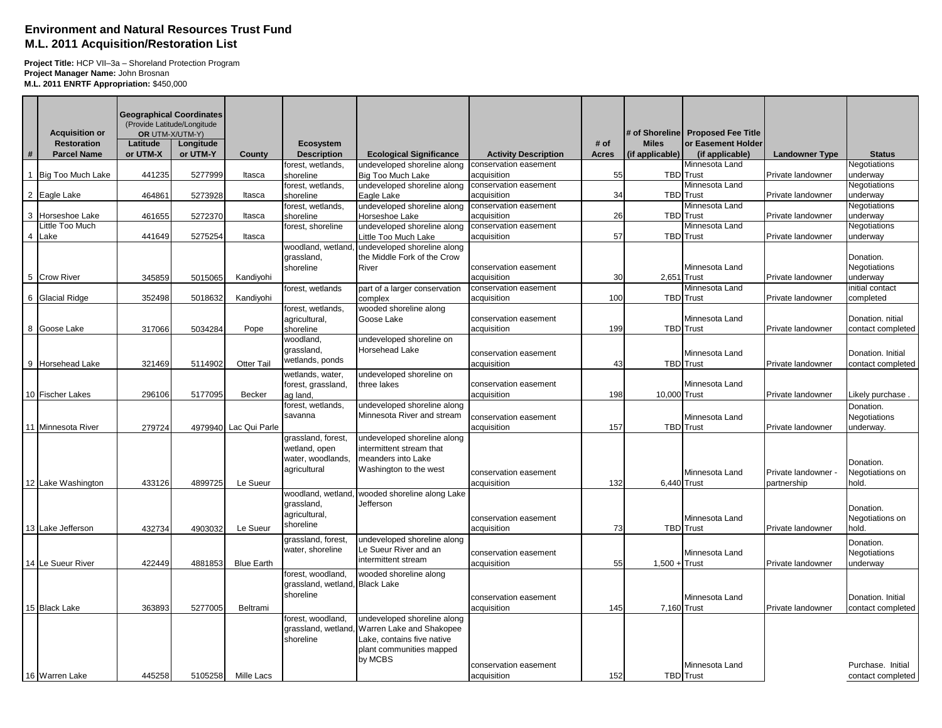#### **Environment and Natural Resources Trust Fund M.L. 2011 Acquisition/Restoration List**

**Project Title:** HCP VII–3a – Shoreland Protection Program **Project Manager Name:** John Brosnan **M.L. 2011 ENRTF Appropriation:** \$450,000

|   | <b>Acquisition or</b>                    | <b>Geographical Coordinates</b> | (Provide Latitude/Longitude<br>OR UTM-X/UTM-Y) |                       |                                        |                                                            |                             |                      |                                 | # of Shoreline   Proposed Fee Title   |                       |                   |
|---|------------------------------------------|---------------------------------|------------------------------------------------|-----------------------|----------------------------------------|------------------------------------------------------------|-----------------------------|----------------------|---------------------------------|---------------------------------------|-----------------------|-------------------|
| # | <b>Restoration</b><br><b>Parcel Name</b> | Latitude<br>or UTM-X            | Longitude<br>or UTM-Y                          | County                | <b>Ecosystem</b><br><b>Description</b> | <b>Ecological Significance</b>                             | <b>Activity Description</b> | # of<br><b>Acres</b> | <b>Miles</b><br>(if applicable) | or Easement Holder<br>(if applicable) | <b>Landowner Type</b> | <b>Status</b>     |
|   |                                          |                                 |                                                |                       | forest, wetlands,                      | undeveloped shoreline along                                | conservation easement       |                      |                                 | Minnesota Land                        |                       | Negotiations      |
|   | 1 Big Too Much Lake                      | 441235                          | 5277999                                        | Itasca                | shoreline                              | <b>Big Too Much Lake</b>                                   | acquisition                 | 55                   |                                 | <b>TBD</b> Trust                      | Private landowner     | underway          |
|   |                                          |                                 |                                                |                       | forest, wetlands,                      | undeveloped shoreline along                                | conservation easement       |                      |                                 | Minnesota Land                        |                       | Negotiations      |
|   | 2 Eagle Lake                             | 464861                          | 5273928                                        | Itasca                | shoreline                              | Eagle Lake                                                 | acquisition                 | 34                   | <b>TBD</b>                      | Trust                                 | Private landowner     | underway          |
|   |                                          |                                 |                                                |                       | forest, wetlands,                      | undeveloped shoreline along                                | conservation easement       |                      |                                 | Minnesota Land                        |                       | Negotiations      |
|   | 3 Horseshoe Lake                         | 461655                          | 5272370                                        | Itasca                | shoreline                              | Horseshoe Lake                                             | acquisition                 | 26                   |                                 | <b>TBD</b> Trust                      | Private landowner     | underway          |
|   | Little Too Much                          |                                 |                                                |                       | forest, shoreline                      | undeveloped shoreline along                                | conservation easement       |                      |                                 | Minnesota Land                        |                       | Negotiations      |
| 4 | Lake                                     | 441649                          | 5275254                                        | Itasca                |                                        | Little Too Much Lake                                       | acquisition                 | 57                   |                                 | <b>TBD</b> Trust                      | Private landowner     | underway          |
|   |                                          |                                 |                                                |                       | woodland, wetland<br>grassland,        | undeveloped shoreline along<br>the Middle Fork of the Crow |                             |                      |                                 |                                       |                       | Donation.         |
|   |                                          |                                 |                                                |                       | shoreline                              | River                                                      | conservation easement       |                      |                                 | Minnesota Land                        |                       | Negotiations      |
|   | 5 Crow River                             | 345859                          | 5015065                                        | Kandiyohi             |                                        |                                                            | acquisition                 | 30                   | 2,651                           | Trust                                 | Private landowner     | underway          |
|   |                                          |                                 |                                                |                       | forest, wetlands                       | part of a larger conservation                              | conservation easement       |                      |                                 | Minnesota Land                        |                       | initial contact   |
|   | 6 Glacial Ridge                          | 352498                          | 5018632                                        | Kandiyohi             |                                        | complex                                                    | acquisition                 | 100                  |                                 | <b>TBD</b> Trust                      | Private landowner     | completed         |
|   |                                          |                                 |                                                |                       | forest, wetlands,                      | wooded shoreline along                                     |                             |                      |                                 |                                       |                       |                   |
|   |                                          |                                 |                                                |                       | agricultural,                          | Goose Lake                                                 | conservation easement       |                      |                                 | Minnesota Land                        |                       | Donation. nitial  |
|   | 8 Goose Lake                             | 317066                          | 5034284                                        | Pope                  | shoreline                              |                                                            | acquisition                 | 199                  |                                 | <b>TBD</b> Trust                      | Private landowner     | contact completed |
|   |                                          |                                 |                                                |                       | woodland,                              | undeveloped shoreline on                                   |                             |                      |                                 |                                       |                       |                   |
|   |                                          |                                 |                                                |                       | grassland,                             | <b>Horsehead Lake</b>                                      | conservation easement       |                      |                                 | Minnesota Land                        |                       | Donation. Initial |
|   | 9 Horsehead Lake                         | 321469                          | 5114902                                        | <b>Otter Tail</b>     | wetlands, ponds                        |                                                            | acquisition                 | 43                   |                                 | <b>TBD</b> Trust                      | Private landowner     | contact completed |
|   |                                          |                                 |                                                |                       | wetlands, water,                       | undeveloped shoreline on                                   |                             |                      |                                 |                                       |                       |                   |
|   |                                          |                                 |                                                |                       | forest, grassland,                     | three lakes                                                | conservation easement       |                      |                                 | Minnesota Land                        |                       |                   |
|   | 10 Fischer Lakes                         | 296106                          | 5177095                                        | <b>Becker</b>         | ag land,                               |                                                            | acquisition                 | 198                  | 10,000 Trust                    |                                       | Private landowner     | Likely purchase   |
|   |                                          |                                 |                                                |                       | forest, wetlands,                      | undeveloped shoreline along                                |                             |                      |                                 |                                       |                       | Donation.         |
|   |                                          |                                 |                                                |                       | savanna                                | Minnesota River and stream                                 | conservation easement       |                      |                                 | Minnesota Land                        |                       | Negotiations      |
|   | 11 Minnesota River                       | 279724                          |                                                | 4979940 Lac Qui Parle |                                        |                                                            | acquisition                 | 157                  |                                 | <b>TBD</b> Trust                      | Private landowner     | underway.         |
|   |                                          |                                 |                                                |                       | grassland, forest.                     | undeveloped shoreline along                                |                             |                      |                                 |                                       |                       |                   |
|   |                                          |                                 |                                                |                       | wetland, open                          | intermittent stream that                                   |                             |                      |                                 |                                       |                       |                   |
|   |                                          |                                 |                                                |                       | water, woodlands,                      | meanders into Lake                                         |                             |                      |                                 |                                       |                       | Donation.         |
|   |                                          |                                 |                                                |                       | agricultural                           | Washington to the west                                     | conservation easement       |                      |                                 | Minnesota Land                        | Private landowner -   | Negotiations on   |
|   | 12 Lake Washington                       | 433126                          | 4899725                                        | Le Sueur              |                                        |                                                            | acquisition                 | 132                  | 6,440 Trust                     |                                       | partnership           | hold.             |
|   |                                          |                                 |                                                |                       | woodland, wetland,                     | wooded shoreline along Lake                                |                             |                      |                                 |                                       |                       |                   |
|   |                                          |                                 |                                                |                       | grassland,                             | Jefferson                                                  |                             |                      |                                 |                                       |                       | Donation.         |
|   |                                          |                                 |                                                |                       | agricultural,<br>shoreline             |                                                            | conservation easement       |                      |                                 | Minnesota Land                        |                       | Negotiations on   |
|   | 13 Lake Jefferson                        | 432734                          | 4903032                                        | Le Sueur              |                                        |                                                            | acquisition                 | 73                   |                                 | <b>TBD</b> Trust                      | Private landowner     | hold.             |
|   |                                          |                                 |                                                |                       | grassland, forest,                     | undeveloped shoreline along                                |                             |                      |                                 |                                       |                       | Donation.         |
|   |                                          |                                 |                                                |                       | water, shoreline                       | Le Sueur River and an                                      | conservation easement       |                      |                                 | Minnesota Land                        |                       | Negotiations      |
|   | 14 Le Sueur River                        | 422449                          | 4881853                                        | <b>Blue Earth</b>     |                                        | intermittent stream                                        | acquisition                 | 55                   | $1,500 +$                       | Trust                                 | Private landowner     | underway          |
|   |                                          |                                 |                                                |                       | forest, woodland,                      | wooded shoreline along                                     |                             |                      |                                 |                                       |                       |                   |
|   |                                          |                                 |                                                |                       | grassland, wetland, Black Lake         |                                                            |                             |                      |                                 |                                       |                       |                   |
|   |                                          |                                 |                                                |                       | shoreline                              |                                                            | conservation easement       |                      |                                 | Minnesota Land                        |                       | Donation. Initial |
|   | 15 Black Lake                            | 363893                          | 5277005                                        | Beltrami              |                                        |                                                            | acquisition                 | 145                  | 7,160 Trust                     |                                       | Private landowner     | contact completed |
|   |                                          |                                 |                                                |                       | forest, woodland,                      | undeveloped shoreline along                                |                             |                      |                                 |                                       |                       |                   |
|   |                                          |                                 |                                                |                       |                                        | grassland, wetland, Warren Lake and Shakopee               |                             |                      |                                 |                                       |                       |                   |
|   |                                          |                                 |                                                |                       | shoreline                              | Lake, contains five native                                 |                             |                      |                                 |                                       |                       |                   |
|   |                                          |                                 |                                                |                       |                                        | plant communities mapped                                   |                             |                      |                                 |                                       |                       |                   |
|   |                                          |                                 |                                                |                       |                                        | by MCBS                                                    | conservation easement       |                      |                                 | Minnesota Land                        |                       | Purchase. Initial |
|   | 16 Warren Lake                           | 445258                          | 5105258                                        | Mille Lacs            |                                        |                                                            | acquisition                 | 152                  |                                 | <b>TBD</b> Trust                      |                       | contact completed |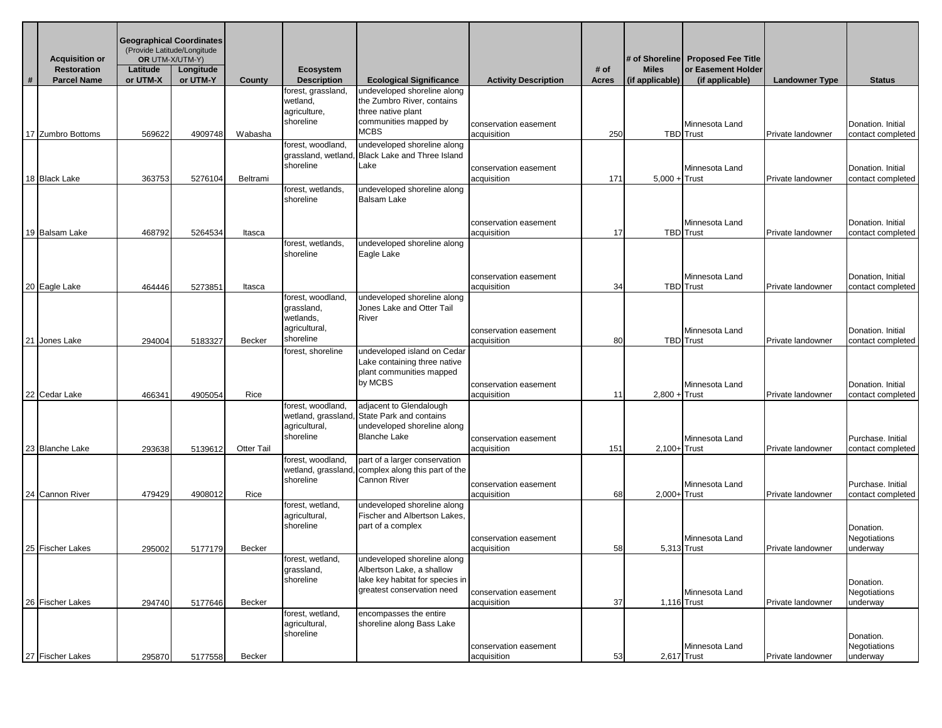|   | <b>Acquisition or</b><br><b>Restoration</b> | Latitude | <b>Geographical Coordinates</b><br>(Provide Latitude/Longitude<br>OR UTM-X/UTM-Y)<br>Longitude |                   |                                                                            |                                                                                                                           |                                      | # of  | <b>Miles</b>    | # of Shoreline   Proposed Fee Title<br>or Easement Holder |                       |                                                |
|---|---------------------------------------------|----------|------------------------------------------------------------------------------------------------|-------------------|----------------------------------------------------------------------------|---------------------------------------------------------------------------------------------------------------------------|--------------------------------------|-------|-----------------|-----------------------------------------------------------|-----------------------|------------------------------------------------|
| # | <b>Parcel Name</b>                          | or UTM-X | or UTM-Y                                                                                       | County            | <b>Ecosystem</b><br><b>Description</b>                                     | <b>Ecological Significance</b>                                                                                            | <b>Activity Description</b>          | Acres | (if applicable) | (if applicable)                                           | <b>Landowner Type</b> | <b>Status</b>                                  |
|   |                                             |          |                                                                                                |                   | forest, grassland,<br>wetland,<br>agriculture,<br>shoreline                | undeveloped shoreline along<br>the Zumbro River, contains<br>three native plant<br>communities mapped by                  |                                      |       |                 |                                                           |                       |                                                |
|   | 17 Zumbro Bottoms                           | 569622   | 4909748                                                                                        | Wabasha           |                                                                            | MCBS                                                                                                                      | conservation easement<br>acquisition | 250   |                 | Minnesota Land<br><b>TBD</b> Trust                        | Private landowner     | Donation. Initial<br>contact completed         |
|   |                                             |          |                                                                                                |                   | forest, woodland,<br>shoreline                                             | undeveloped shoreline along<br>grassland, wetland, Black Lake and Three Island<br>Lake                                    | conservation easement                |       |                 | Minnesota Land                                            |                       | Donation. Initial                              |
|   | 18 Black Lake                               | 363753   | 5276104                                                                                        | Beltrami          | forest, wetlands,<br>shoreline                                             | undeveloped shoreline along<br>Balsam Lake                                                                                | acquisition                          | 171   | $5,000 +$ Trust |                                                           | Private landowner     | contact completed                              |
|   | 19 Balsam Lake                              | 468792   | 5264534                                                                                        | Itasca            |                                                                            |                                                                                                                           | conservation easement<br>acquisition | 17    |                 | Minnesota Land<br><b>TBD</b> Trust                        | Private landowner     | Donation. Initial<br>contact completed         |
|   |                                             |          |                                                                                                |                   | forest, wetlands,<br>shoreline                                             | undeveloped shoreline along<br>Eagle Lake                                                                                 |                                      |       |                 |                                                           |                       |                                                |
|   | 20 Eagle Lake                               | 464446   | 5273851                                                                                        | Itasca            |                                                                            |                                                                                                                           | conservation easement<br>acquisition | 34    |                 | Minnesota Land<br><b>TBD</b> Trust                        | Private landowner     | Donation, Initial<br>contact completed         |
|   | 21 Jones Lake                               | 294004   | 5183327                                                                                        | <b>Becker</b>     | forest, woodland,<br>grassland,<br>wetlands,<br>agricultural,<br>shoreline | undeveloped shoreline along<br>Jones Lake and Otter Tail<br>River                                                         | conservation easement<br>acquisition | 80    |                 | Minnesota Land<br><b>TBD</b> Trust                        | Private landowner     | Donation. Initial<br>contact completed         |
|   | 22 Cedar Lake                               | 466341   | 4905054                                                                                        | Rice              | forest, shoreline                                                          | undeveloped island on Cedar<br>Lake containing three native<br>plant communities mapped<br>by MCBS                        | conservation easement<br>acquisition | 11    | $2,800 +$ Trust | Minnesota Land                                            | Private landowner     | Donation. Initial<br>contact completed         |
|   | 23 Blanche Lake                             | 293638   | 5139612                                                                                        | <b>Otter Tail</b> | forest, woodland,<br>wetland, grassland<br>agricultural,<br>shoreline      | adjacent to Glendalough<br>State Park and contains<br>undeveloped shoreline along<br>Blanche Lake                         | conservation easement<br>acquisition | 151   | $2,100+$ Trust  | Minnesota Land                                            | Private landowner     | Purchase, Initial<br>contact completed         |
|   |                                             |          |                                                                                                |                   | forest, woodland,<br>wetland, grassland,<br>shoreline                      | part of a larger conservation<br>complex along this part of the<br>Cannon River                                           | conservation easement                |       |                 | Minnesota Land                                            |                       | Purchase. Initial                              |
|   | 24 Cannon River                             | 479429   | 4908012                                                                                        | Rice              | forest, wetland,<br>agricultural,<br>shoreline                             | undeveloped shoreline along<br><b>Fischer and Albertson Lakes.</b><br>part of a complex                                   | acquisition<br>conservation easement | 68    | 2,000+Trust     | Minnesota Land                                            | Private landowner     | contact completed<br>Donation.<br>Negotiations |
|   | 25 Fischer Lakes                            | 295002   | 5177179                                                                                        | <b>Becker</b>     |                                                                            |                                                                                                                           | acquisition                          | 58    | 5,313 Trust     |                                                           | Private landowner     | underway                                       |
|   |                                             |          |                                                                                                |                   | forest, wetland,<br>grassland,<br>shoreline                                | undeveloped shoreline along<br>Albertson Lake, a shallow<br>lake key habitat for species in<br>greatest conservation need | conservation easement                |       |                 | Minnesota Land                                            |                       | Donation.<br>Negotiations                      |
|   | 26 Fischer Lakes                            | 294740   | 5177646                                                                                        | Becker            | forest, wetland,<br>agricultural,<br>shoreline                             | encompasses the entire<br>shoreline along Bass Lake                                                                       | acquisition                          | 37    | 1,116 Trust     |                                                           | Private landowner     | underway<br>Donation.                          |
|   | 27 Fischer Lakes                            | 295870   | 5177558                                                                                        | Becker            |                                                                            |                                                                                                                           | conservation easement<br>acquisition | 53    | 2,617 Trust     | Minnesota Land                                            | Private landowner     | Negotiations<br>underway                       |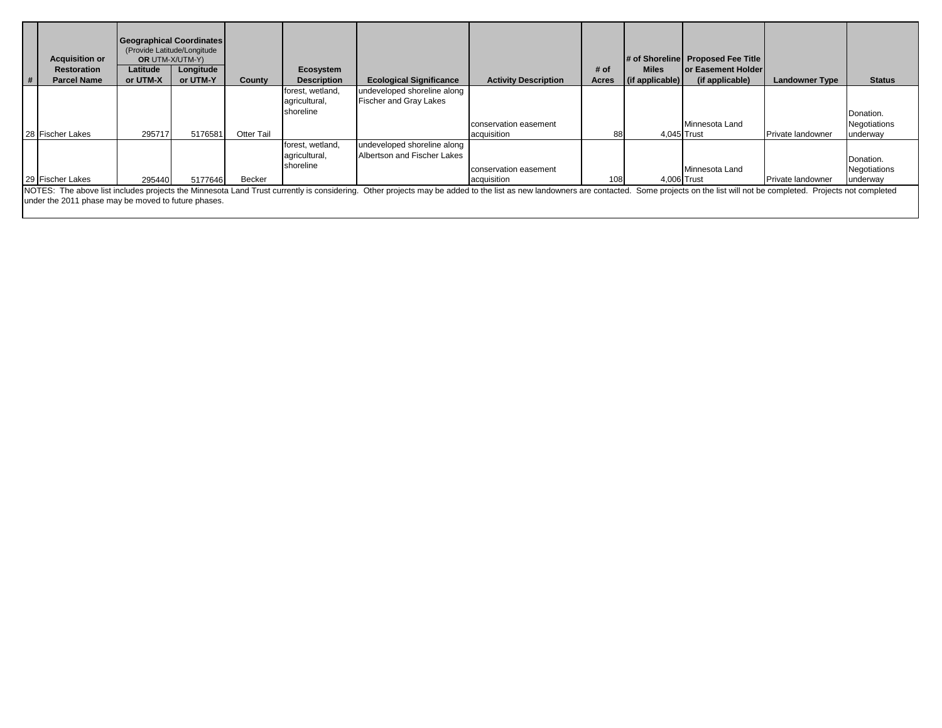| <b>Acquisition or</b><br><b>Restoration</b><br>#<br><b>Parcel Name</b> | Latitude<br>or UTM-X | <b>Geographical Coordinates</b><br>(Provide Latitude/Longitude<br><b>OR UTM-X/UTM-Y)</b><br>Longitude<br>or UTM-Y | County            | Ecosystem<br><b>Description</b>                | <b>Ecological Significance</b>                                                                                                                                                                                                | <b>Activity Description</b>          | # of<br>Acres | <b>Miles</b><br>(if applicable) | # of Shoreline Proposed Fee Title<br>lor Easement Holder<br>(if applicable) | <b>Landowner Type</b> | <b>Status</b>                         |
|------------------------------------------------------------------------|----------------------|-------------------------------------------------------------------------------------------------------------------|-------------------|------------------------------------------------|-------------------------------------------------------------------------------------------------------------------------------------------------------------------------------------------------------------------------------|--------------------------------------|---------------|---------------------------------|-----------------------------------------------------------------------------|-----------------------|---------------------------------------|
|                                                                        |                      |                                                                                                                   |                   | forest, wetland,<br>agricultural,<br>shoreline | undeveloped shoreline along<br><b>Fischer and Gray Lakes</b>                                                                                                                                                                  |                                      |               |                                 |                                                                             |                       | Donation.                             |
| 28 Fischer Lakes                                                       | 295717               | 5176581                                                                                                           | <b>Otter Tail</b> |                                                |                                                                                                                                                                                                                               | conservation easement<br>acquisition | 88            | 4,045 Trust                     | Minnesota Land                                                              | Private landowner     | Negotiations<br>underway              |
| 29 Fischer Lakes                                                       | 295440               | 5177646                                                                                                           | Becker            | forest, wetland,<br>agricultural,<br>shoreline | undeveloped shoreline along<br>Albertson and Fischer Lakes                                                                                                                                                                    | conservation easement<br>acquisition | 108           |                                 | Minnesota Land<br>4.006 Trust                                               | Private landowner     | Donation.<br>Negotiations<br>underway |
| under the 2011 phase may be moved to future phases.                    |                      |                                                                                                                   |                   |                                                | NOTES: The above list includes projects the Minnesota Land Trust currently is considering. Other projects may be added to the list as new landowners are contacted. Some projects on the list will not be completed. Projects |                                      |               |                                 |                                                                             |                       |                                       |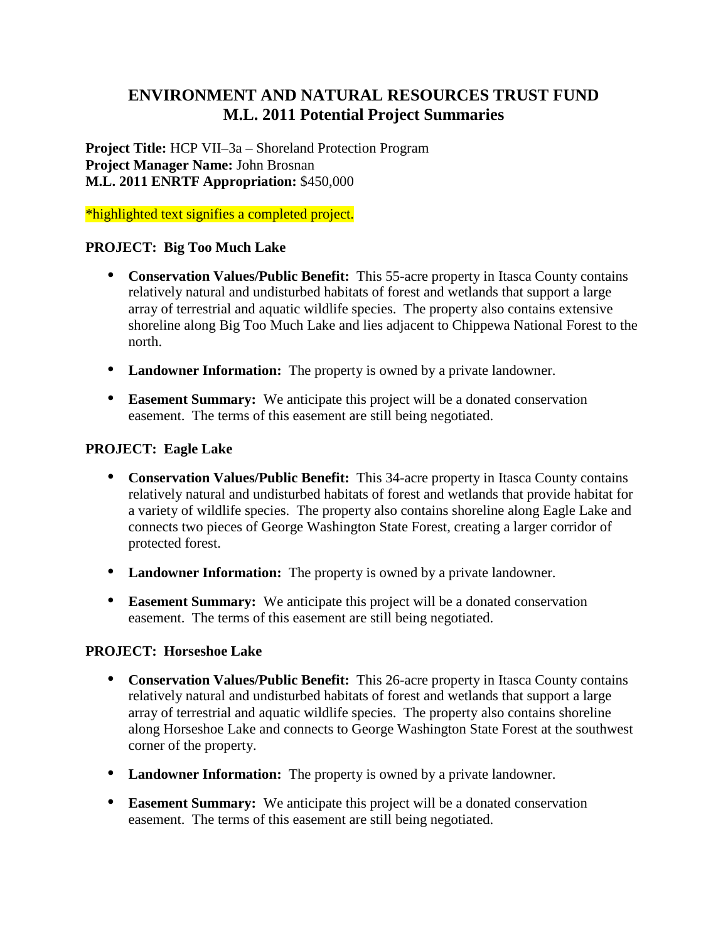# **ENVIRONMENT AND NATURAL RESOURCES TRUST FUND M.L. 2011 Potential Project Summaries**

**Project Title:** HCP VII–3a – Shoreland Protection Program **Project Manager Name:** John Brosnan **M.L. 2011 ENRTF Appropriation:** \$450,000

\*highlighted text signifies a completed project.

# **PROJECT: Big Too Much Lake**

- **Conservation Values/Public Benefit:** This 55-acre property in Itasca County contains relatively natural and undisturbed habitats of forest and wetlands that support a large array of terrestrial and aquatic wildlife species. The property also contains extensive shoreline along Big Too Much Lake and lies adjacent to Chippewa National Forest to the north.
- **Landowner Information:** The property is owned by a private landowner.
- **Easement Summary:** We anticipate this project will be a donated conservation easement. The terms of this easement are still being negotiated.

# **PROJECT: Eagle Lake**

- **Conservation Values/Public Benefit:** This 34-acre property in Itasca County contains relatively natural and undisturbed habitats of forest and wetlands that provide habitat for a variety of wildlife species. The property also contains shoreline along Eagle Lake and connects two pieces of George Washington State Forest, creating a larger corridor of protected forest.
- **Landowner Information:** The property is owned by a private landowner.
- **Easement Summary:** We anticipate this project will be a donated conservation easement. The terms of this easement are still being negotiated.

# **PROJECT: Horseshoe Lake**

- **Conservation Values/Public Benefit:** This 26-acre property in Itasca County contains relatively natural and undisturbed habitats of forest and wetlands that support a large array of terrestrial and aquatic wildlife species. The property also contains shoreline along Horseshoe Lake and connects to George Washington State Forest at the southwest corner of the property.
- **Landowner Information:** The property is owned by a private landowner.
- **Easement Summary:** We anticipate this project will be a donated conservation easement. The terms of this easement are still being negotiated.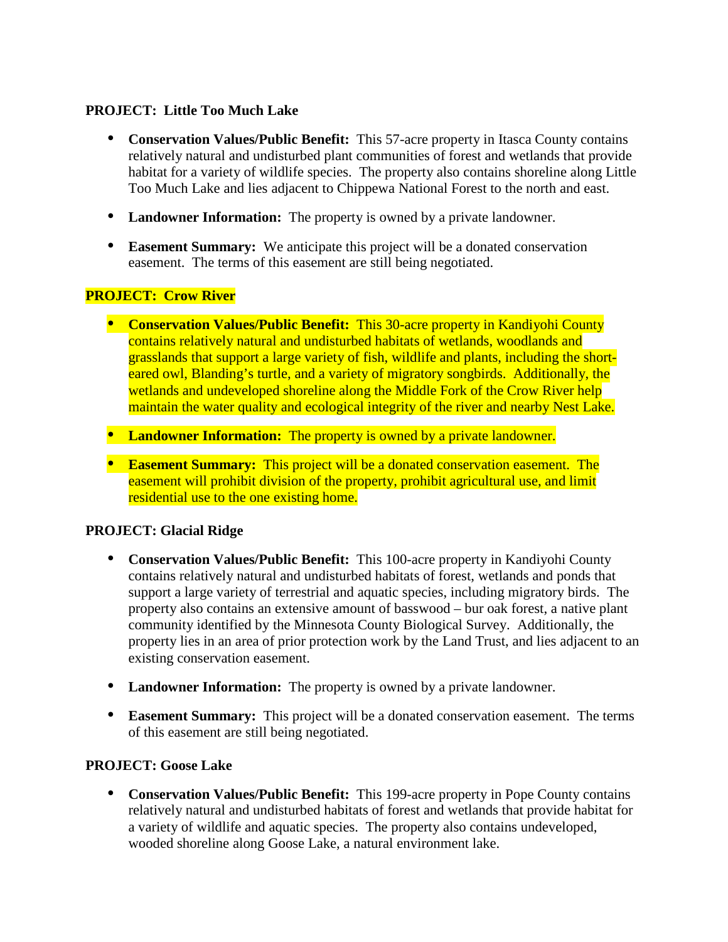# **PROJECT: Little Too Much Lake**

- **Conservation Values/Public Benefit:** This 57-acre property in Itasca County contains relatively natural and undisturbed plant communities of forest and wetlands that provide habitat for a variety of wildlife species. The property also contains shoreline along Little Too Much Lake and lies adjacent to Chippewa National Forest to the north and east.
- **Landowner Information:** The property is owned by a private landowner.
- **Easement Summary:** We anticipate this project will be a donated conservation easement. The terms of this easement are still being negotiated.

# **PROJECT: Crow River**

- **Conservation Values/Public Benefit:** This 30-acre property in Kandiyohi County contains relatively natural and undisturbed habitats of wetlands, woodlands and grasslands that support a large variety of fish, wildlife and plants, including the shorteared owl, Blanding's turtle, and a variety of migratory songbirds. Additionally, the wetlands and undeveloped shoreline along the Middle Fork of the Crow River help maintain the water quality and ecological integrity of the river and nearby Nest Lake.
- Landowner Information: The property is owned by a private landowner.
- **Easement Summary:** This project will be a donated conservation easement. The easement will prohibit division of the property, prohibit agricultural use, and limit residential use to the one existing home.

# **PROJECT: Glacial Ridge**

- **Conservation Values/Public Benefit:** This 100-acre property in Kandiyohi County contains relatively natural and undisturbed habitats of forest, wetlands and ponds that support a large variety of terrestrial and aquatic species, including migratory birds. The property also contains an extensive amount of basswood – bur oak forest, a native plant community identified by the Minnesota County Biological Survey. Additionally, the property lies in an area of prior protection work by the Land Trust, and lies adjacent to an existing conservation easement.
- **Landowner Information:** The property is owned by a private landowner.
- **Easement Summary:** This project will be a donated conservation easement. The terms of this easement are still being negotiated.

# **PROJECT: Goose Lake**

 **Conservation Values/Public Benefit:** This 199-acre property in Pope County contains relatively natural and undisturbed habitats of forest and wetlands that provide habitat for a variety of wildlife and aquatic species. The property also contains undeveloped, wooded shoreline along Goose Lake, a natural environment lake.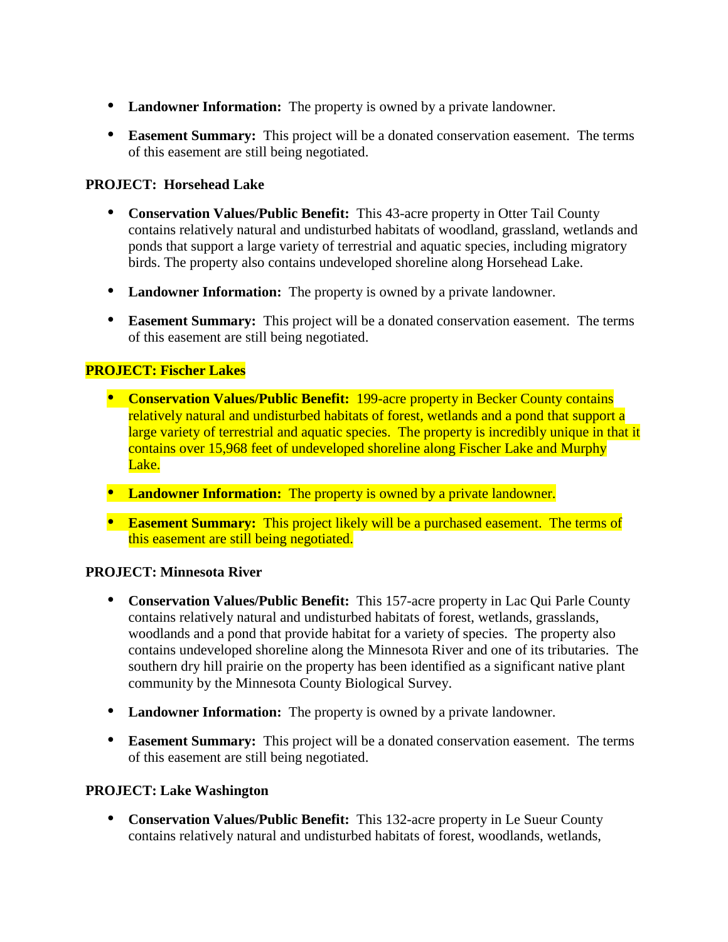- **Landowner Information:** The property is owned by a private landowner.
- **Easement Summary:** This project will be a donated conservation easement. The terms of this easement are still being negotiated.

# **PROJECT: Horsehead Lake**

- **Conservation Values/Public Benefit:** This 43-acre property in Otter Tail County contains relatively natural and undisturbed habitats of woodland, grassland, wetlands and ponds that support a large variety of terrestrial and aquatic species, including migratory birds. The property also contains undeveloped shoreline along Horsehead Lake.
- **Landowner Information:** The property is owned by a private landowner.
- **Easement Summary:** This project will be a donated conservation easement. The terms of this easement are still being negotiated.

# **PROJECT: Fischer Lakes**

- **Conservation Values/Public Benefit:** 199-acre property in Becker County contains relatively natural and undisturbed habitats of forest, wetlands and a pond that support a large variety of terrestrial and aquatic species. The property is incredibly unique in that it contains over 15,968 feet of undeveloped shoreline along Fischer Lake and Murphy Lake.
- Landowner Information: The property is owned by a private landowner.
- **Easement Summary:** This project likely will be a purchased easement. The terms of this easement are still being negotiated.

# **PROJECT: Minnesota River**

- **Conservation Values/Public Benefit:** This 157-acre property in Lac Qui Parle County contains relatively natural and undisturbed habitats of forest, wetlands, grasslands, woodlands and a pond that provide habitat for a variety of species. The property also contains undeveloped shoreline along the Minnesota River and one of its tributaries. The southern dry hill prairie on the property has been identified as a significant native plant community by the Minnesota County Biological Survey.
- **Landowner Information:** The property is owned by a private landowner.
- **Easement Summary:** This project will be a donated conservation easement. The terms of this easement are still being negotiated.

# **PROJECT: Lake Washington**

 **Conservation Values/Public Benefit:** This 132-acre property in Le Sueur County contains relatively natural and undisturbed habitats of forest, woodlands, wetlands,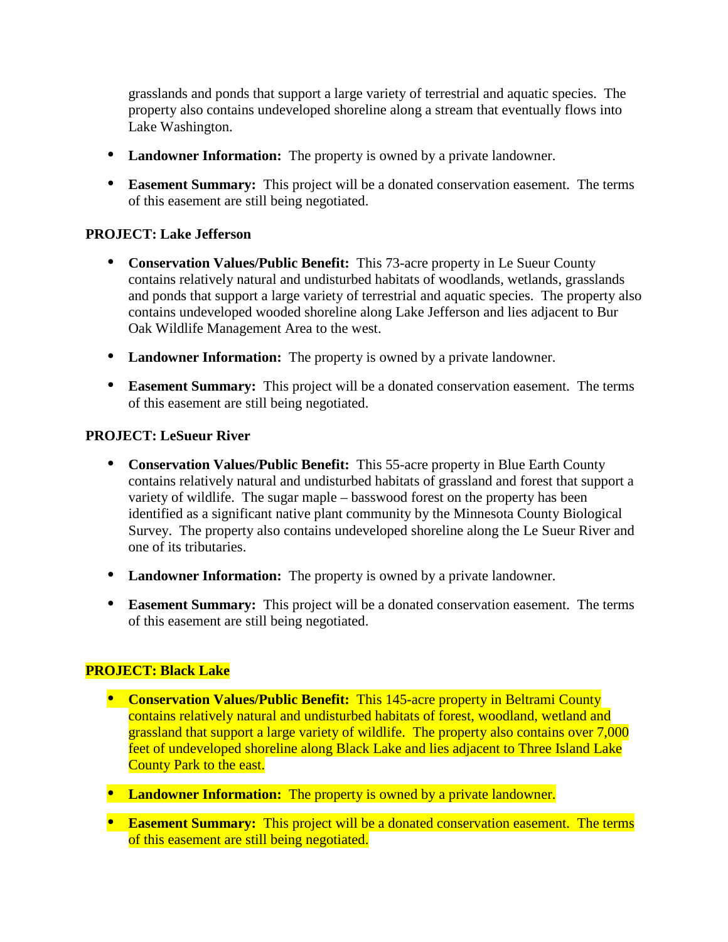grasslands and ponds that support a large variety of terrestrial and aquatic species. The property also contains undeveloped shoreline along a stream that eventually flows into Lake Washington.

- **Landowner Information:** The property is owned by a private landowner.
- **Easement Summary:** This project will be a donated conservation easement. The terms of this easement are still being negotiated.

# **PROJECT: Lake Jefferson**

- **Conservation Values/Public Benefit:** This 73-acre property in Le Sueur County contains relatively natural and undisturbed habitats of woodlands, wetlands, grasslands and ponds that support a large variety of terrestrial and aquatic species. The property also contains undeveloped wooded shoreline along Lake Jefferson and lies adjacent to Bur Oak Wildlife Management Area to the west.
- **Landowner Information:** The property is owned by a private landowner.
- **Easement Summary:** This project will be a donated conservation easement. The terms of this easement are still being negotiated.

# **PROJECT: LeSueur River**

- **Conservation Values/Public Benefit:** This 55-acre property in Blue Earth County contains relatively natural and undisturbed habitats of grassland and forest that support a variety of wildlife. The sugar maple – basswood forest on the property has been identified as a significant native plant community by the Minnesota County Biological Survey. The property also contains undeveloped shoreline along the Le Sueur River and one of its tributaries.
- **Landowner Information:** The property is owned by a private landowner.
- **Easement Summary:** This project will be a donated conservation easement. The terms of this easement are still being negotiated.

# **PROJECT: Black Lake**

- **Conservation Values/Public Benefit:** This 145-acre property in Beltrami County contains relatively natural and undisturbed habitats of forest, woodland, wetland and grassland that support a large variety of wildlife. The property also contains over 7,000 feet of undeveloped shoreline along Black Lake and lies adjacent to Three Island Lake County Park to the east.
- **Landowner Information:** The property is owned by a private landowner.
- **Easement Summary:** This project will be a donated conservation easement. The terms of this easement are still being negotiated.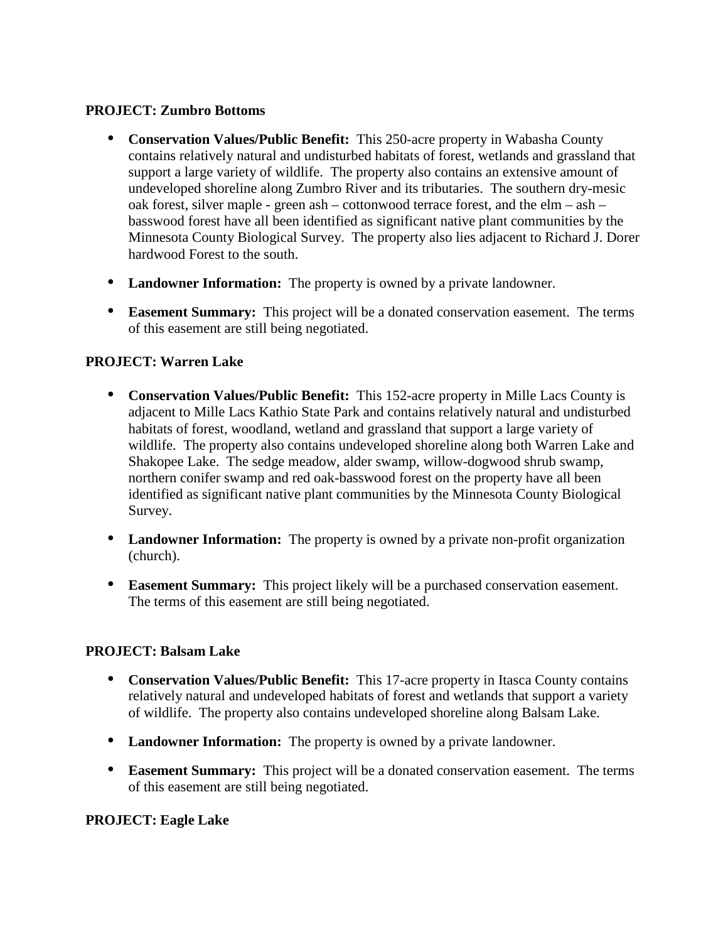# **PROJECT: Zumbro Bottoms**

- **Conservation Values/Public Benefit:** This 250-acre property in Wabasha County contains relatively natural and undisturbed habitats of forest, wetlands and grassland that support a large variety of wildlife. The property also contains an extensive amount of undeveloped shoreline along Zumbro River and its tributaries. The southern dry-mesic oak forest, silver maple - green ash – cottonwood terrace forest, and the elm – ash – basswood forest have all been identified as significant native plant communities by the Minnesota County Biological Survey. The property also lies adjacent to Richard J. Dorer hardwood Forest to the south.
- **Landowner Information:** The property is owned by a private landowner.
- **Easement Summary:** This project will be a donated conservation easement. The terms of this easement are still being negotiated.

# **PROJECT: Warren Lake**

- **Conservation Values/Public Benefit:** This 152-acre property in Mille Lacs County is adjacent to Mille Lacs Kathio State Park and contains relatively natural and undisturbed habitats of forest, woodland, wetland and grassland that support a large variety of wildlife. The property also contains undeveloped shoreline along both Warren Lake and Shakopee Lake. The sedge meadow, alder swamp, willow-dogwood shrub swamp, northern conifer swamp and red oak-basswood forest on the property have all been identified as significant native plant communities by the Minnesota County Biological Survey.
- **Landowner Information:** The property is owned by a private non-profit organization (church).
- **Easement Summary:** This project likely will be a purchased conservation easement. The terms of this easement are still being negotiated.

# **PROJECT: Balsam Lake**

- **Conservation Values/Public Benefit:** This 17-acre property in Itasca County contains relatively natural and undeveloped habitats of forest and wetlands that support a variety of wildlife. The property also contains undeveloped shoreline along Balsam Lake.
- **Landowner Information:** The property is owned by a private landowner.
- **Easement Summary:** This project will be a donated conservation easement. The terms of this easement are still being negotiated.

# **PROJECT: Eagle Lake**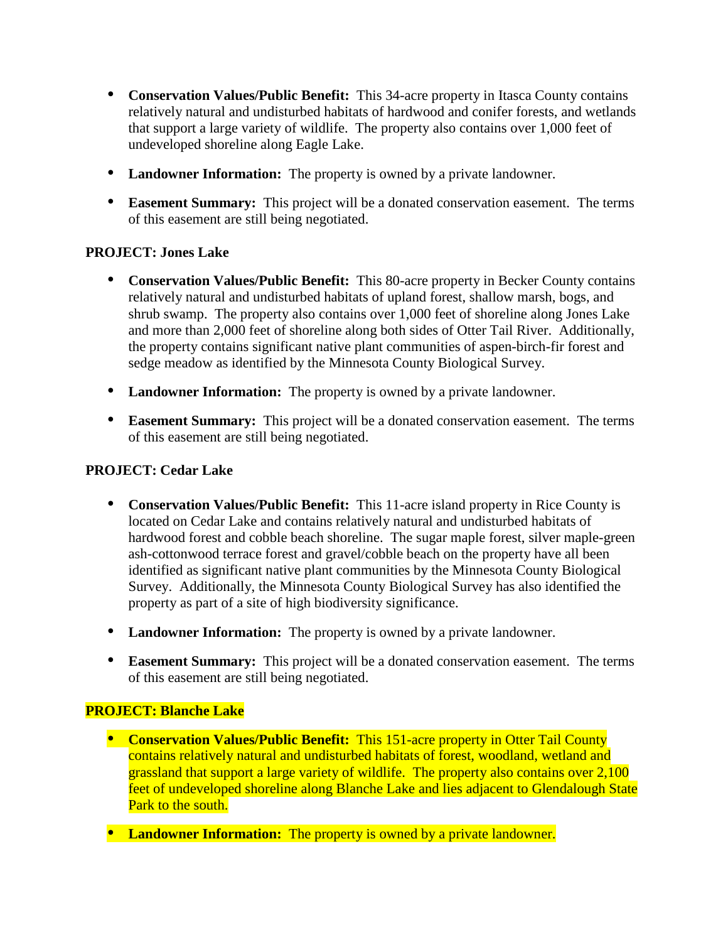- **Conservation Values/Public Benefit:** This 34-acre property in Itasca County contains relatively natural and undisturbed habitats of hardwood and conifer forests, and wetlands that support a large variety of wildlife. The property also contains over 1,000 feet of undeveloped shoreline along Eagle Lake.
- **Landowner Information:** The property is owned by a private landowner.
- **Easement Summary:** This project will be a donated conservation easement. The terms of this easement are still being negotiated.

# **PROJECT: Jones Lake**

- **Conservation Values/Public Benefit:** This 80-acre property in Becker County contains relatively natural and undisturbed habitats of upland forest, shallow marsh, bogs, and shrub swamp. The property also contains over 1,000 feet of shoreline along Jones Lake and more than 2,000 feet of shoreline along both sides of Otter Tail River. Additionally, the property contains significant native plant communities of aspen-birch-fir forest and sedge meadow as identified by the Minnesota County Biological Survey.
- **Landowner Information:** The property is owned by a private landowner.
- **Easement Summary:** This project will be a donated conservation easement. The terms of this easement are still being negotiated.

# **PROJECT: Cedar Lake**

- **Conservation Values/Public Benefit:** This 11-acre island property in Rice County is located on Cedar Lake and contains relatively natural and undisturbed habitats of hardwood forest and cobble beach shoreline. The sugar maple forest, silver maple-green ash-cottonwood terrace forest and gravel/cobble beach on the property have all been identified as significant native plant communities by the Minnesota County Biological Survey. Additionally, the Minnesota County Biological Survey has also identified the property as part of a site of high biodiversity significance.
- **Landowner Information:** The property is owned by a private landowner.
- **Easement Summary:** This project will be a donated conservation easement. The terms of this easement are still being negotiated.

# **PROJECT: Blanche Lake**

- **Conservation Values/Public Benefit:** This 151-acre property in Otter Tail County contains relatively natural and undisturbed habitats of forest, woodland, wetland and grassland that support a large variety of wildlife. The property also contains over 2,100 feet of undeveloped shoreline along Blanche Lake and lies adjacent to Glendalough State Park to the south.
- Landowner Information: The property is owned by a private landowner.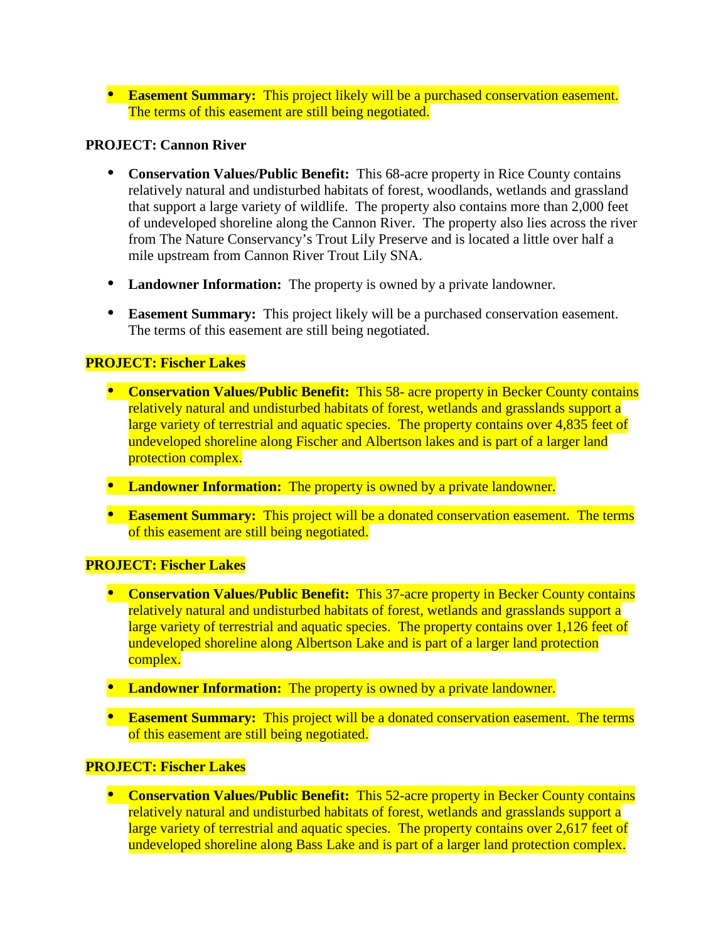**Easement Summary:** This project likely will be a purchased conservation easement. The terms of this easement are still being negotiated.

# **PROJECT: Cannon River**

- **Conservation Values/Public Benefit:** This 68-acre property in Rice County contains relatively natural and undisturbed habitats of forest, woodlands, wetlands and grassland that support a large variety of wildlife. The property also contains more than 2,000 feet of undeveloped shoreline along the Cannon River. The property also lies across the river from The Nature Conservancy's Trout Lily Preserve and is located a little over half a mile upstream from Cannon River Trout Lily SNA.
- **Landowner Information:** The property is owned by a private landowner.
- **Easement Summary:** This project likely will be a purchased conservation easement. The terms of this easement are still being negotiated.

# **PROJECT: Fischer Lakes**

- **Conservation Values/Public Benefit:** This 58- acre property in Becker County contains relatively natural and undisturbed habitats of forest, wetlands and grasslands support a large variety of terrestrial and aquatic species. The property contains over 4,835 feet of undeveloped shoreline along Fischer and Albertson lakes and is part of a larger land protection complex.
- Landowner Information: The property is owned by a private landowner.
- **Easement Summary:** This project will be a donated conservation easement. The terms of this easement are still being negotiated.

# **PROJECT: Fischer Lakes**

- **Conservation Values/Public Benefit:** This 37-acre property in Becker County contains relatively natural and undisturbed habitats of forest, wetlands and grasslands support a large variety of terrestrial and aquatic species. The property contains over 1,126 feet of undeveloped shoreline along Albertson Lake and is part of a larger land protection complex.
- Landowner Information: The property is owned by a private landowner.
- **Easement Summary:** This project will be a donated conservation easement. The terms of this easement are still being negotiated.

# **PROJECT: Fischer Lakes**

**Conservation Values/Public Benefit:** This 52-acre property in Becker County contains relatively natural and undisturbed habitats of forest, wetlands and grasslands support a large variety of terrestrial and aquatic species. The property contains over 2,617 feet of undeveloped shoreline along Bass Lake and is part of a larger land protection complex.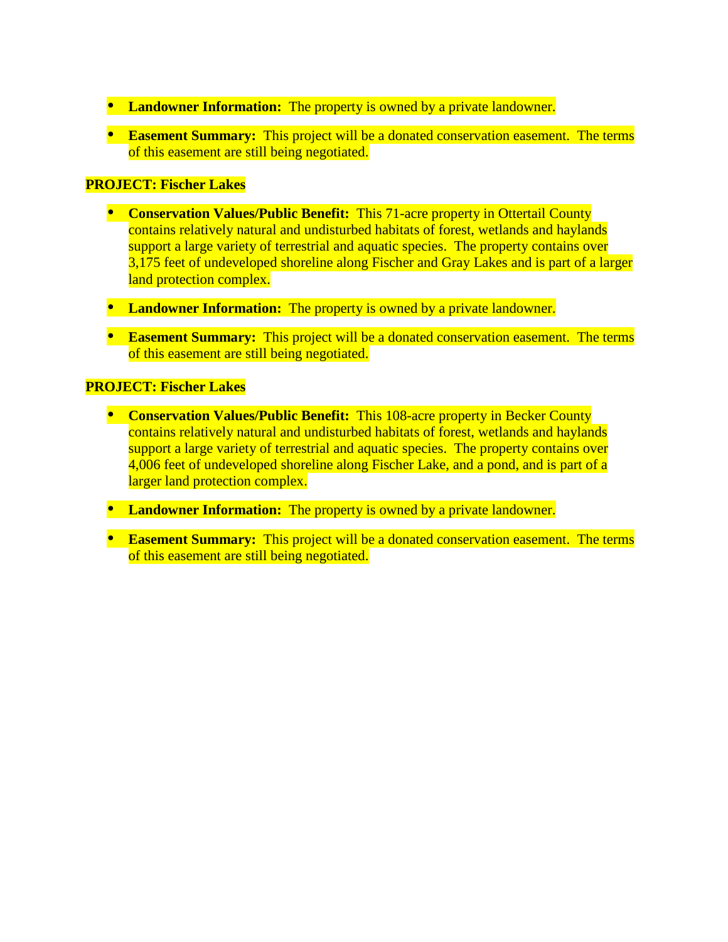- Landowner Information: The property is owned by a private landowner.
- **Easement Summary:** This project will be a donated conservation easement. The terms of this easement are still being negotiated.

# **PROJECT: Fischer Lakes**

- **Conservation Values/Public Benefit:** This 71-acre property in Ottertail County contains relatively natural and undisturbed habitats of forest, wetlands and haylands support a large variety of terrestrial and aquatic species. The property contains over 3,175 feet of undeveloped shoreline along Fischer and Gray Lakes and is part of a larger land protection complex.
- Landowner Information: The property is owned by a private landowner.
- **Easement Summary:** This project will be a donated conservation easement. The terms of this easement are still being negotiated.

# **PROJECT: Fischer Lakes**

- **Conservation Values/Public Benefit:** This 108-acre property in Becker County contains relatively natural and undisturbed habitats of forest, wetlands and haylands support a large variety of terrestrial and aquatic species. The property contains over 4,006 feet of undeveloped shoreline along Fischer Lake, and a pond, and is part of a larger land protection complex.
- **Landowner Information:** The property is owned by a private landowner.
- **Easement Summary:** This project will be a donated conservation easement. The terms of this easement are still being negotiated.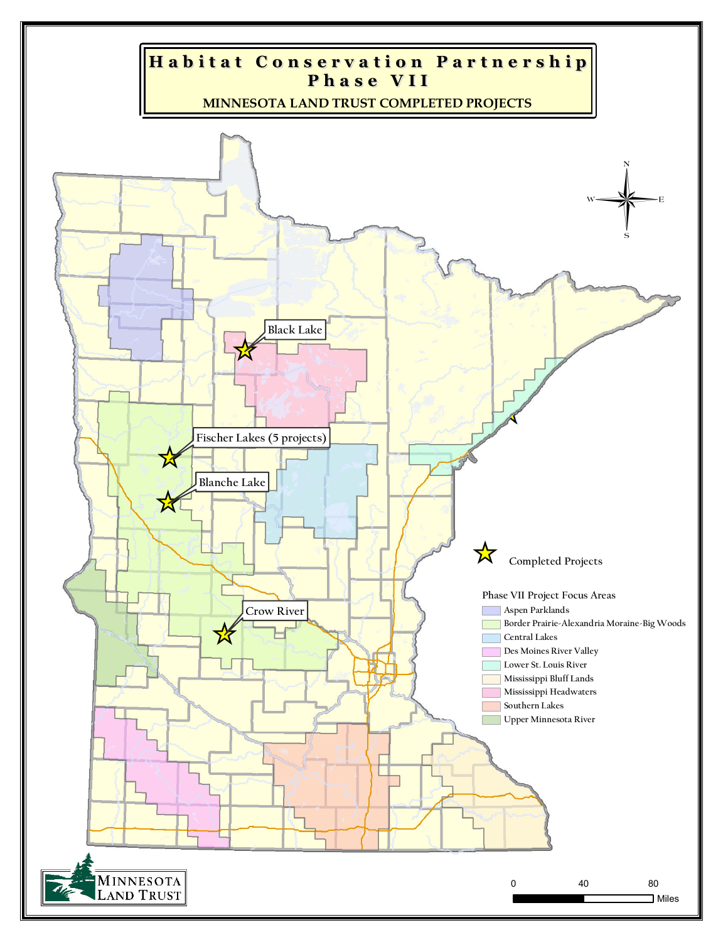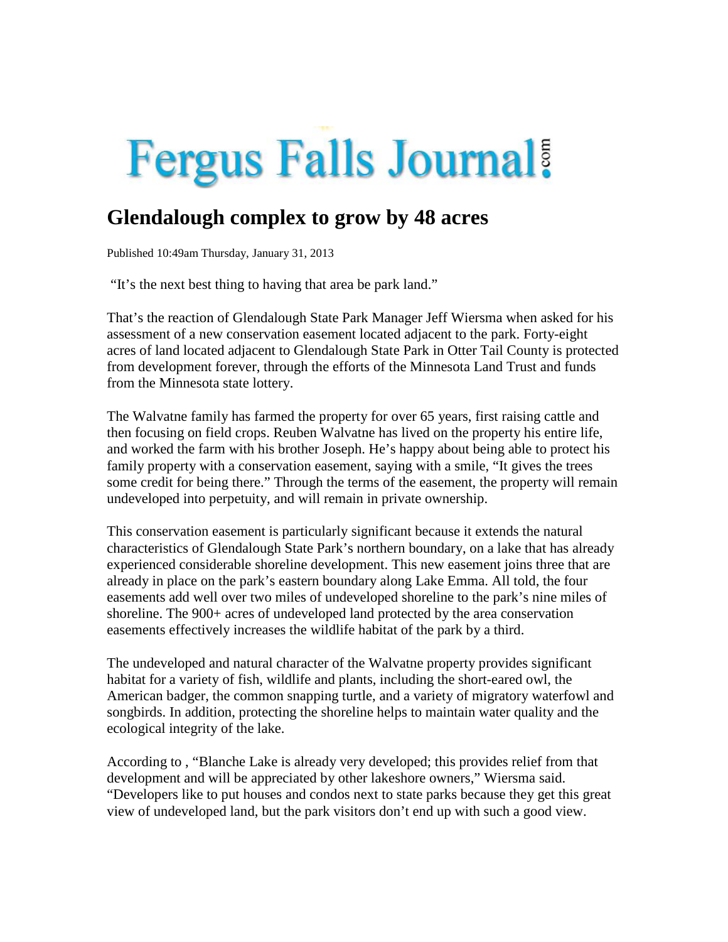# **Fergus Falls Journal!**

# **Glendalough complex to grow by 48 acres**

Published 10:49am Thursday, January 31, 2013

"It's the next best thing to having that area be park land."

That's the reaction of Glendalough State Park Manager Jeff Wiersma when asked for his assessment of a new conservation easement located adjacent to the park. Forty-eight acres of land located adjacent to Glendalough State Park in Otter Tail County is protected from development forever, through the efforts of the Minnesota Land Trust and funds from the Minnesota state lottery.

The Walvatne family has farmed the property for over 65 years, first raising cattle and then focusing on field crops. Reuben Walvatne has lived on the property his entire life, and worked the farm with his brother Joseph. He's happy about being able to protect his family property with a conservation easement, saying with a smile, "It gives the trees some credit for being there." Through the terms of the easement, the property will remain undeveloped into perpetuity, and will remain in private ownership.

This conservation easement is particularly significant because it extends the natural characteristics of Glendalough State Park's northern boundary, on a lake that has already experienced considerable shoreline development. This new easement joins three that are already in place on the park's eastern boundary along Lake Emma. All told, the four easements add well over two miles of undeveloped shoreline to the park's nine miles of shoreline. The 900+ acres of undeveloped land protected by the area conservation easements effectively increases the wildlife habitat of the park by a third.

The undeveloped and natural character of the Walvatne property provides significant habitat for a variety of fish, wildlife and plants, including the short-eared owl, the American badger, the common snapping turtle, and a variety of migratory waterfowl and songbirds. In addition, protecting the shoreline helps to maintain water quality and the ecological integrity of the lake.

According to , "Blanche Lake is already very developed; this provides relief from that development and will be appreciated by other lakeshore owners," Wiersma said. "Developers like to put houses and condos next to state parks because they get this great view of undeveloped land, but the park visitors don't end up with such a good view.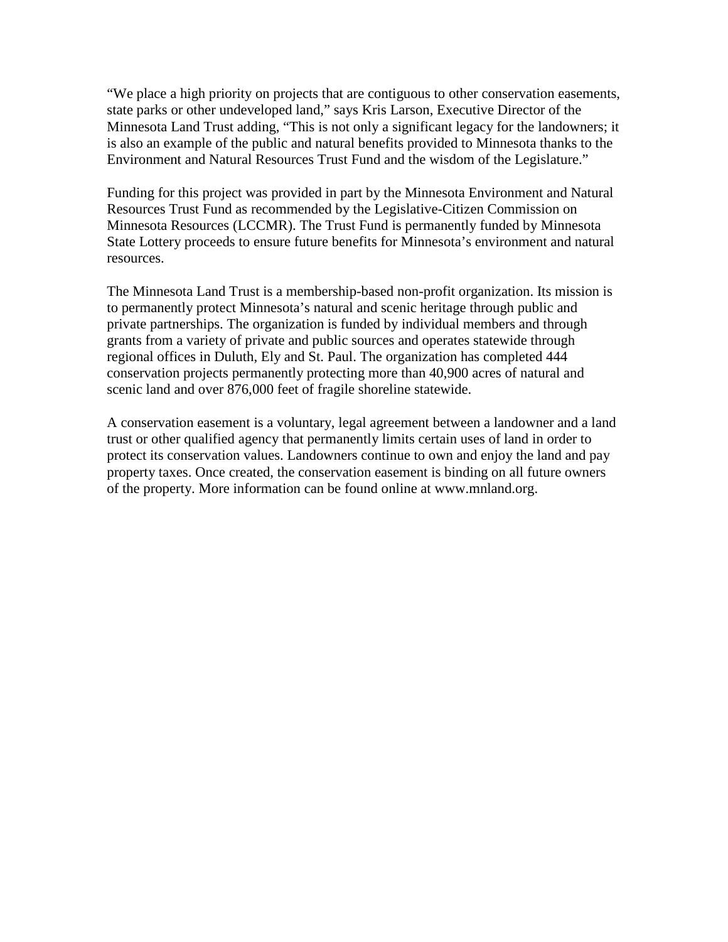"We place a high priority on projects that are contiguous to other conservation easements, state parks or other undeveloped land," says Kris Larson, Executive Director of the Minnesota Land Trust adding, "This is not only a significant legacy for the landowners; it is also an example of the public and natural benefits provided to Minnesota thanks to the Environment and Natural Resources Trust Fund and the wisdom of the Legislature."

Funding for this project was provided in part by the Minnesota Environment and Natural Resources Trust Fund as recommended by the Legislative-Citizen Commission on Minnesota Resources (LCCMR). The Trust Fund is permanently funded by Minnesota State Lottery proceeds to ensure future benefits for Minnesota's environment and natural resources.

The Minnesota Land Trust is a membership-based non-profit organization. Its mission is to permanently protect Minnesota's natural and scenic heritage through public and private partnerships. The organization is funded by individual members and through grants from a variety of private and public sources and operates statewide through regional offices in Duluth, Ely and St. Paul. The organization has completed 444 conservation projects permanently protecting more than 40,900 acres of natural and scenic land and over 876,000 feet of fragile shoreline statewide.

A conservation easement is a voluntary, legal agreement between a landowner and a land trust or other qualified agency that permanently limits certain uses of land in order to protect its conservation values. Landowners continue to own and enjoy the land and pay property taxes. Once created, the conservation easement is binding on all future owners of the property. More information can be found online at www.mnland.org.